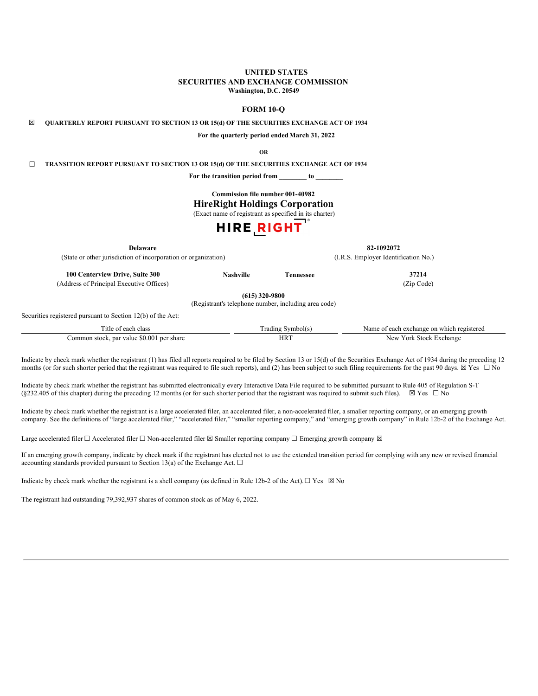## **UNITED STATES SECURITIES AND EXCHANGE COMMISSION Washington, D.C. 20549**

## **FORM 10-Q**

☒ **QUARTERLY REPORT PURSUANT TO SECTION 13 OR 15(d) OF THE SECURITIES EXCHANGE ACT OF 1934**

**For the quarterly period endedMarch 31, 2022**

**OR**

☐ **TRANSITION REPORT PURSUANT TO SECTION 13 OR 15(d) OF THE SECURITIES EXCHANGE ACT OF 1934**

**For the transition period from \_\_\_\_\_\_\_\_ to \_\_\_\_\_\_\_\_**

**Commission file number 001-40982**

**HireRight Holdings Corporation**

(Exact name of registrant as specified in its charter)

# **HIRE RIGHT**

**Delaware 82-1092072**

(State or other jurisdiction of incorporation or organization) (I.R.S. Employer Identification No.)

**100 Centerview Drive, Suite 300 Nashville Tennessee 37214** (Address of Principal Executive Offices) (Zip Code)

**(615) 320-9800**

(Registrant's telephone number, including area code)

Securities registered pursuant to Section 12(b) of the Act:

| Fitle of each class                       | ' Symbol(s)<br>rading | Name of each exchange on which registered |  |  |  |  |  |
|-------------------------------------------|-----------------------|-------------------------------------------|--|--|--|--|--|
| Common stock, par value \$0.001 per share | HRT                   | New York Stock Exchange                   |  |  |  |  |  |

Indicate by check mark whether the registrant (1) has filed all reports required to be filed by Section 13 or 15(d) of the Securities Exchange Act of 1934 during the preceding 12 months (or for such shorter period that the registrant was required to file such reports), and (2) has been subject to such filing requirements for the past 90 days. ⊠ Yes □ No

Indicate by check mark whether the registrant has submitted electronically every Interactive Data File required to be submitted pursuant to Rule 405 of Regulation S-T  $(\S232.405 \text{ of this chapter})$  during the preceding 12 months (or for such shorter period that the registrant was required to submit such files).  $\boxtimes$  Yes  $\Box$  No

Indicate by check mark whether the registrant is a large accelerated filer, an accelerated filer, a non-accelerated filer, a smaller reporting company, or an emerging growth company. See the definitions of "large accelerated filer," "accelerated filer," "smaller reporting company," and "emerging growth company" in Rule 12b-2 of the Exchange Act.

Large accelerated filer  $\Box$  Accelerated filer  $\Box$  Non-accelerated filer  $\boxtimes$  Smaller reporting company  $\Box$  Emerging growth company  $\boxtimes$ 

If an emerging growth company, indicate by check mark if the registrant has elected not to use the extended transition period for complying with any new or revised financial accounting standards provided pursuant to Section 13(a) of the Exchange Act.  $\Box$ 

Indicate by check mark whether the registrant is a shell company (as defined in Rule 12b-2 of the Act). $\Box$  Yes  $\boxtimes$  No

The registrant had outstanding 79,392,937 shares of common stock as of May 6, 2022.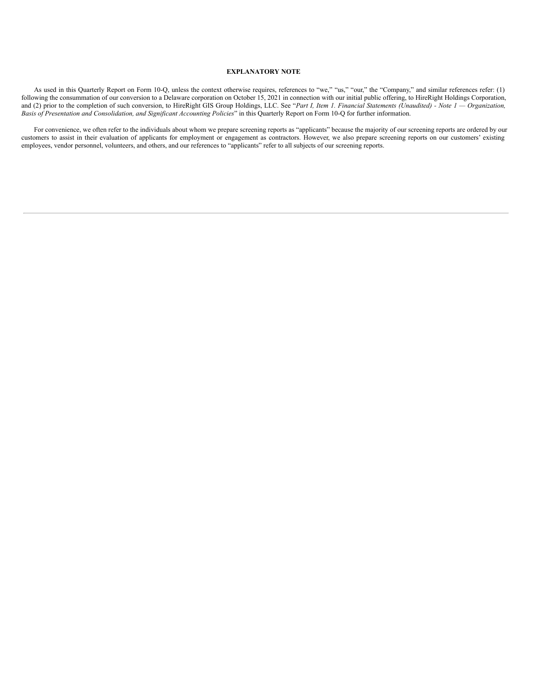## **EXPLANATORY NOTE**

As used in this Quarterly Report on Form 10-Q, unless the context otherwise requires, references to "we," "us," "our," the "Company," and similar references refer: (1) following the consummation of our conversion to a Delaware corporation on October 15, 2021 in connection with our initial public offering, to HireRight Holdings Corporation, and (2) prior to the completion of such conversion, to HireRight GIS Group Holdings, LLC. See "Part I, Item 1. Financial Statements (Unaudited) - Note  $1$  - Organization, *Basis of Presentation and Consolidation, and Significant Accounting Policies*" in this Quarterly Report on Form 10-Q for further information.

For convenience, we often refer to the individuals about whom we prepare screening reports as "applicants" because the majority of our screening reports are ordered by our customers to assist in their evaluation of applicants for employment or engagement as contractors. However, we also prepare screening reports on our customers' existing employees, vendor personnel, volunteers, and others, and our references to "applicants" refer to all subjects of our screening reports.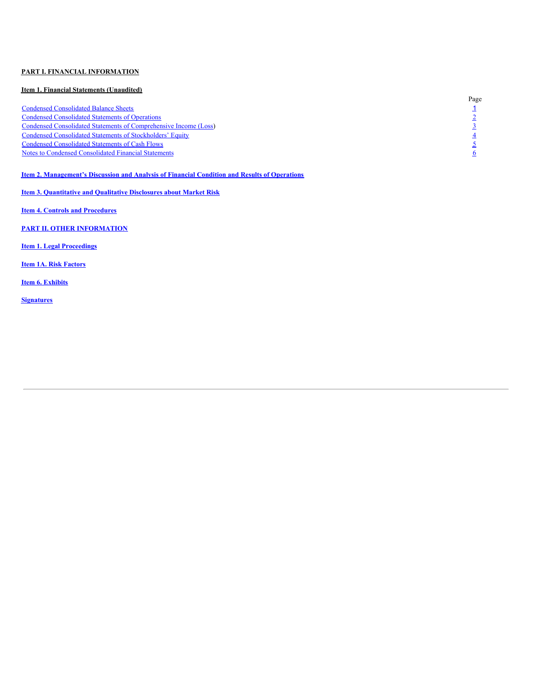# **PART I. FINANCIAL INFORMATION**

# **Item 1. Financial Statements (Unaudited)**

|                                                                         | rag |
|-------------------------------------------------------------------------|-----|
| <b>Condensed Consolidated Balance Sheets</b>                            |     |
| <b>Condensed Consolidated Statements of Operations</b>                  |     |
| <b>Condensed Consolidated Statements of Comprehensive Income (Loss)</b> |     |
| Condensed Consolidated Statements of Stockholders' Equity               |     |
| <b>Condensed Consolidated Statements of Cash Flows</b>                  |     |
| Notes to Condensed Consolidated Financial Statements                    |     |
|                                                                         |     |

**Item 2. [Management's](#page-25-0) Discussion and Analysis of Financial Condition and Results of Operations**

# **Item 3. [Quantitative](#page-35-0) and Qualitative Disclosures about Market Risk**

**Item 4. Controls and [Procedures](#page-36-0)**

**PART II. OTHER [INFORMATION](#page-38-0)**

**Item 1. Legal [Proceedings](#page-39-0)**

**Item 1A. Risk [Factors](#page-39-1)**

**Item 6. [Exhibits](#page-39-2)**

<span id="page-2-0"></span>**[Signatures](#page-39-3)**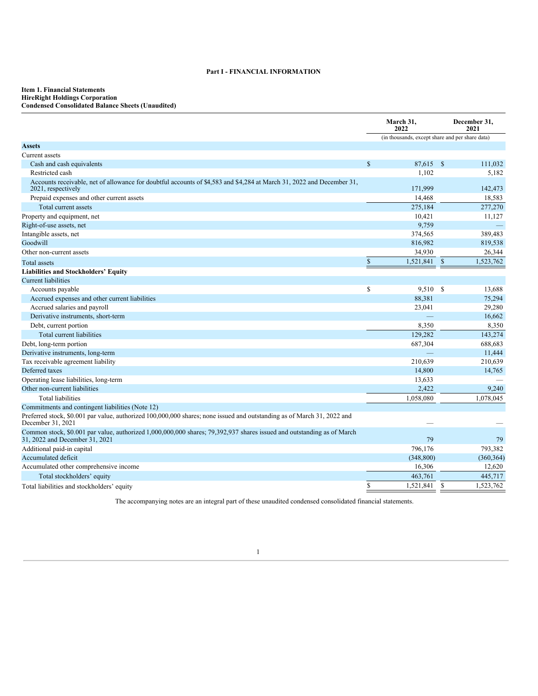# **Part I - FINANCIAL INFORMATION**

#### **Item 1. Financial Statements HireRight Holdings Corporation Condensed Consolidated Balance Sheets (Unaudited)**

|                                                                                                                                                          | March 31,<br>2022                               |            |              | December 31,<br>2021 |
|----------------------------------------------------------------------------------------------------------------------------------------------------------|-------------------------------------------------|------------|--------------|----------------------|
|                                                                                                                                                          | (in thousands, except share and per share data) |            |              |                      |
| <b>Assets</b>                                                                                                                                            |                                                 |            |              |                      |
| Current assets                                                                                                                                           |                                                 |            |              |                      |
| Cash and cash equivalents                                                                                                                                | $\mathbb{S}$                                    | 87,615 \$  |              | 111.032              |
| Restricted cash                                                                                                                                          |                                                 | 1,102      |              | 5,182                |
| Accounts receivable, net of allowance for doubtful accounts of \$4,583 and \$4,284 at March 31, 2022 and December 31,<br>2021, respectively              |                                                 | 171,999    |              | 142,473              |
| Prepaid expenses and other current assets                                                                                                                |                                                 | 14,468     |              | 18,583               |
| Total current assets                                                                                                                                     |                                                 | 275,184    |              | 277,270              |
| Property and equipment, net                                                                                                                              |                                                 | 10,421     |              | 11,127               |
| Right-of-use assets, net                                                                                                                                 |                                                 | 9,759      |              |                      |
| Intangible assets, net                                                                                                                                   |                                                 | 374,565    |              | 389,483              |
| Goodwill                                                                                                                                                 |                                                 | 816,982    |              | 819,538              |
| Other non-current assets                                                                                                                                 |                                                 | 34,930     |              | 26,344               |
| <b>Total</b> assets                                                                                                                                      | $\mathsf{\$}$                                   | 1,521,841  | $\mathbf{s}$ | 1,523,762            |
| <b>Liabilities and Stockholders' Equity</b>                                                                                                              |                                                 |            |              |                      |
| <b>Current liabilities</b>                                                                                                                               |                                                 |            |              |                      |
| Accounts payable                                                                                                                                         | \$                                              | 9,510 \$   |              | 13,688               |
| Accrued expenses and other current liabilities                                                                                                           |                                                 | 88,381     |              | 75,294               |
| Accrued salaries and payroll                                                                                                                             |                                                 | 23,041     |              | 29,280               |
| Derivative instruments, short-term                                                                                                                       |                                                 |            |              | 16,662               |
| Debt, current portion                                                                                                                                    |                                                 | 8,350      |              | 8,350                |
| Total current liabilities                                                                                                                                |                                                 | 129,282    |              | 143,274              |
| Debt, long-term portion                                                                                                                                  |                                                 | 687,304    |              | 688,683              |
| Derivative instruments, long-term                                                                                                                        |                                                 |            |              | 11,444               |
| Tax receivable agreement liability                                                                                                                       |                                                 | 210,639    |              | 210,639              |
| Deferred taxes                                                                                                                                           |                                                 | 14,800     |              | 14,765               |
| Operating lease liabilities, long-term                                                                                                                   |                                                 | 13,633     |              |                      |
| Other non-current liabilities                                                                                                                            |                                                 | 2,422      |              | 9,240                |
| <b>Total liabilities</b>                                                                                                                                 |                                                 | 1,058,080  |              | 1,078,045            |
| Commitments and contingent liabilities (Note 12)                                                                                                         |                                                 |            |              |                      |
| Preferred stock, \$0.001 par value, authorized 100,000,000 shares; none issued and outstanding as of March 31, 2022 and<br>December 31, 2021             |                                                 |            |              |                      |
| Common stock, \$0.001 par value, authorized 1,000,000,000 shares; 79,392,937 shares issued and outstanding as of March<br>31, 2022 and December 31, 2021 |                                                 | 79         |              | 79                   |
| Additional paid-in capital                                                                                                                               |                                                 | 796,176    |              | 793,382              |
| Accumulated deficit                                                                                                                                      |                                                 | (348, 800) |              | (360, 364)           |
| Accumulated other comprehensive income                                                                                                                   |                                                 | 16,306     |              | 12,620               |
| Total stockholders' equity                                                                                                                               |                                                 | 463,761    |              | 445,717              |
| Total liabilities and stockholders' equity                                                                                                               | \$                                              | 1,521,841  | $\mathbb{S}$ | 1,523,762            |

<span id="page-3-0"></span>The accompanying notes are an integral part of these unaudited condensed consolidated financial statements.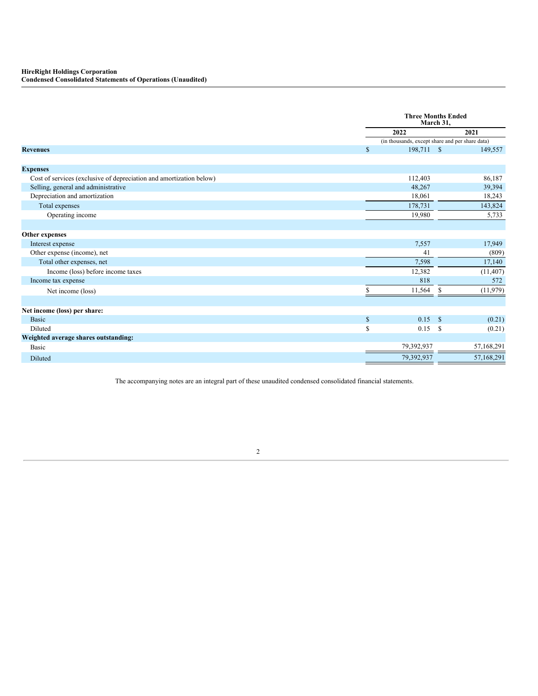## **HireRight Holdings Corporation Condensed Consolidated Statements of Operations (Unaudited)**

|                                                                     |              | <b>Three Months Ended</b><br>March 31,          |               |            |  |
|---------------------------------------------------------------------|--------------|-------------------------------------------------|---------------|------------|--|
|                                                                     |              | 2022                                            |               | 2021       |  |
|                                                                     |              | (in thousands, except share and per share data) |               |            |  |
| <b>Revenues</b>                                                     | $\mathbb{S}$ | 198,711 \$                                      |               | 149,557    |  |
|                                                                     |              |                                                 |               |            |  |
| <b>Expenses</b>                                                     |              |                                                 |               |            |  |
| Cost of services (exclusive of depreciation and amortization below) |              | 112,403                                         |               | 86,187     |  |
| Selling, general and administrative                                 |              | 48,267                                          |               | 39,394     |  |
| Depreciation and amortization                                       |              | 18,061                                          |               | 18,243     |  |
| Total expenses                                                      |              | 178,731                                         |               | 143,824    |  |
| Operating income                                                    |              | 19,980                                          |               | 5,733      |  |
|                                                                     |              |                                                 |               |            |  |
| Other expenses                                                      |              |                                                 |               |            |  |
| Interest expense                                                    |              | 7,557                                           |               | 17,949     |  |
| Other expense (income), net                                         |              | 41                                              |               | (809)      |  |
| Total other expenses, net                                           |              | 7,598                                           |               | 17,140     |  |
| Income (loss) before income taxes                                   |              | 12,382                                          |               | (11, 407)  |  |
| Income tax expense                                                  |              | 818                                             |               | 572        |  |
| Net income (loss)                                                   |              | 11,564                                          | \$            | (11, 979)  |  |
|                                                                     |              |                                                 |               |            |  |
| Net income (loss) per share:                                        |              |                                                 |               |            |  |
| <b>Basic</b>                                                        | $\mathbb S$  | 0.15                                            | <sup>\$</sup> | (0.21)     |  |
| Diluted                                                             | S            | 0.15                                            | <sup>\$</sup> | (0.21)     |  |
| Weighted average shares outstanding:                                |              |                                                 |               |            |  |
| Basic                                                               |              | 79,392,937                                      |               | 57,168,291 |  |
| Diluted                                                             |              | 79,392,937                                      |               | 57,168,291 |  |

<span id="page-4-0"></span>The accompanying notes are an integral part of these unaudited condensed consolidated financial statements.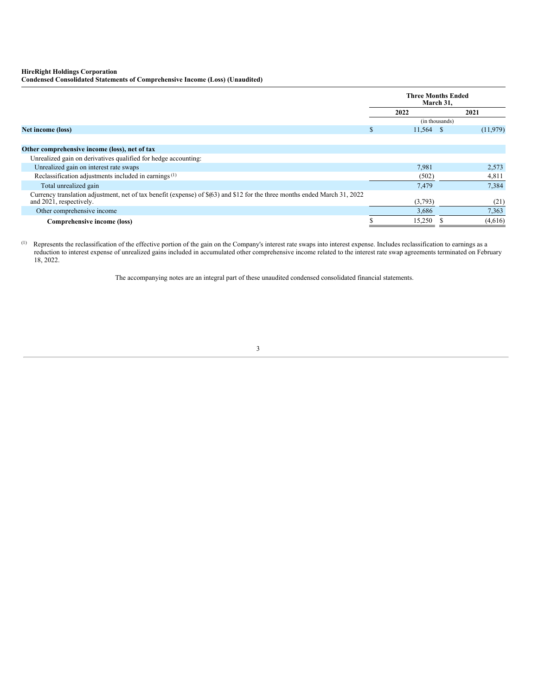**Condensed Consolidated Statements of Comprehensive Income (Loss) (Unaudited)**

|                                                                                                                                                       |    | <b>Three Months Ended</b><br>March 31. |  |          |  |
|-------------------------------------------------------------------------------------------------------------------------------------------------------|----|----------------------------------------|--|----------|--|
|                                                                                                                                                       |    | 2022                                   |  | 2021     |  |
|                                                                                                                                                       |    | (in thousands)                         |  |          |  |
| Net income (loss)                                                                                                                                     | S. | $11,564$ \$                            |  | (11,979) |  |
|                                                                                                                                                       |    |                                        |  |          |  |
| Other comprehensive income (loss), net of tax                                                                                                         |    |                                        |  |          |  |
| Unrealized gain on derivatives qualified for hedge accounting:                                                                                        |    |                                        |  |          |  |
| Unrealized gain on interest rate swaps                                                                                                                |    | 7,981                                  |  | 2,573    |  |
| Reclassification adjustments included in earnings $(1)$                                                                                               |    | (502)                                  |  | 4,811    |  |
| Total unrealized gain                                                                                                                                 |    | 7,479                                  |  | 7,384    |  |
| Currency translation adjustment, net of tax benefit (expense) of \$(63) and \$12 for the three months ended March 31, 2022<br>and 2021, respectively. |    | (3,793)                                |  | (21)     |  |
| Other comprehensive income                                                                                                                            |    | 3,686                                  |  | 7,363    |  |
| Comprehensive income (loss)                                                                                                                           |    | 15,250                                 |  | (4,616)  |  |

<span id="page-5-0"></span>Represents the reclassification of the effective portion of the gain on the Company's interest rate swaps into interest expense. Includes reclassification to earnings as a reduction to interest expense of unrealized gains included in accumulated other comprehensive income related to the interest rate swap agreements terminated on February 18, 2022. (1)

The accompanying notes are an integral part of these unaudited condensed consolidated financial statements.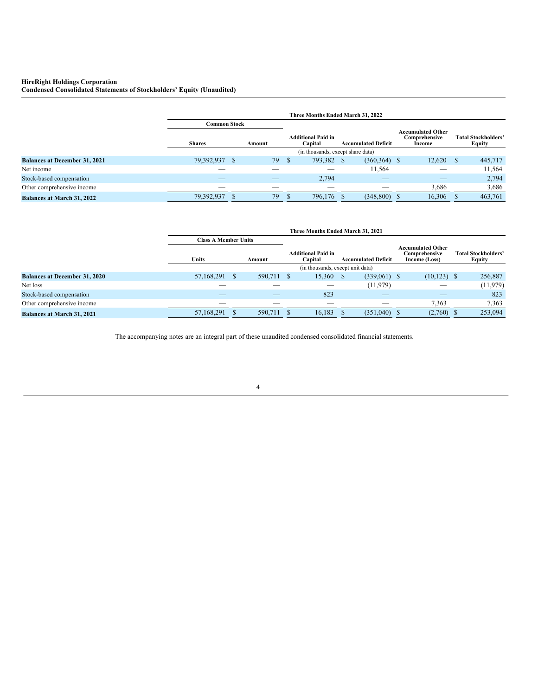**Condensed Consolidated Statements of Stockholders' Equity (Unaudited)**

|                                      |               |        |    | Three Months Ended March 31, 2022    |                            |                                                     |   |                                             |
|--------------------------------------|---------------|--------|----|--------------------------------------|----------------------------|-----------------------------------------------------|---|---------------------------------------------|
|                                      | Common Stock  |        |    |                                      |                            |                                                     |   |                                             |
|                                      | <b>Shares</b> | Amount |    | <b>Additional Paid in</b><br>Capital | <b>Accumulated Deficit</b> | <b>Accumulated Other</b><br>Comprehensive<br>Income |   | <b>Total Stockholders'</b><br><b>Equity</b> |
|                                      |               |        |    | (in thousands, except share data)    |                            |                                                     |   |                                             |
| <b>Balances at December 31, 2021</b> | 79,392,937 \$ | 79     | -S | 793,382 \$                           | $(360, 364)$ \$            | 12.620                                              | S | 445,717                                     |
| Net income                           |               |        |    |                                      | 11.564                     |                                                     |   | 11,564                                      |
| Stock-based compensation             |               |        |    | 2,794                                |                            |                                                     |   | 2,794                                       |
| Other comprehensive income           |               |        |    |                                      |                            | 3,686                                               |   | 3,686                                       |
| <b>Balances at March 31, 2022</b>    | 79,392,937    | 79     | S  | 796,176 \$                           | (348, 800)                 | 16,306                                              |   | 463,761                                     |

|                                      | Three Months Ended March 31, 2021 |  |         |    |                                      |      |                            |  |                                                            |                                      |
|--------------------------------------|-----------------------------------|--|---------|----|--------------------------------------|------|----------------------------|--|------------------------------------------------------------|--------------------------------------|
|                                      | <b>Class A Member Units</b>       |  |         |    |                                      |      |                            |  |                                                            |                                      |
|                                      | <b>Units</b>                      |  | Amount  |    | <b>Additional Paid in</b><br>Capital |      | <b>Accumulated Deficit</b> |  | <b>Accumulated Other</b><br>Comprehensive<br>Income (Loss) | <b>Total Stockholders'</b><br>Equity |
|                                      |                                   |  |         |    | (in thousands, except unit data)     |      |                            |  |                                                            |                                      |
| <b>Balances at December 31, 2020</b> | 57,168,291                        |  | 590,711 | -S | 15,360                               | - \$ | $(339,061)$ \$             |  | $(10,123)$ \$                                              | 256,887                              |
| Net loss                             |                                   |  |         |    |                                      |      | (11, 979)                  |  | $-$                                                        | (11, 979)                            |
| Stock-based compensation             | _                                 |  | _       |    | 823                                  |      | $\overline{\phantom{a}}$   |  | $-$                                                        | 823                                  |
| Other comprehensive income           |                                   |  | _       |    | $\sim$                               |      | $\sim$                     |  | 7.363                                                      | 7,363                                |
| <b>Balances at March 31, 2021</b>    | 57,168,291                        |  | 590,711 | -S | 16.183                               |      | $(351,040)$ \$             |  | $(2,760)$ \$                                               | 253,094                              |

<span id="page-6-0"></span>The accompanying notes are an integral part of these unaudited condensed consolidated financial statements.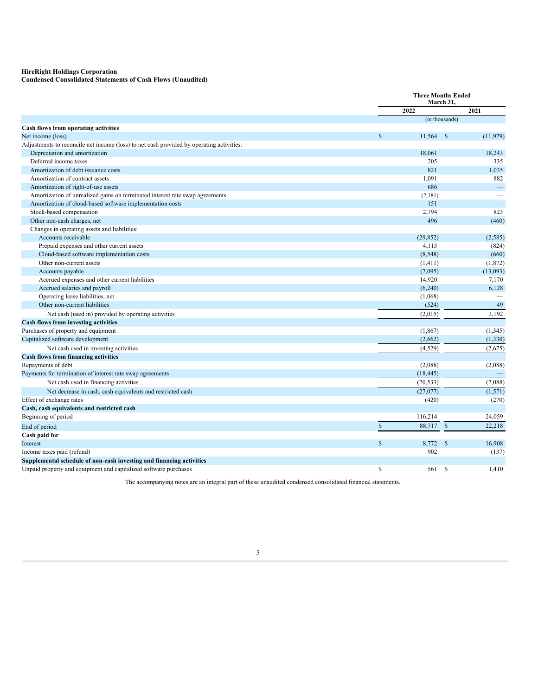**Condensed Consolidated Statements of Cash Flows (Unaudited)**

|                                                                                          |              | <b>Three Months Ended</b><br>March 31, |                          |  |
|------------------------------------------------------------------------------------------|--------------|----------------------------------------|--------------------------|--|
|                                                                                          | 2022         |                                        | 2021                     |  |
|                                                                                          |              | (in thousands)                         |                          |  |
| Cash flows from operating activities                                                     |              |                                        |                          |  |
| Net income (loss)                                                                        | $\mathbb{S}$ | 11,564<br><sup>\$</sup>                | (11, 979)                |  |
| Adjustments to reconcile net income (loss) to net cash provided by operating activities: |              |                                        |                          |  |
| Depreciation and amortization                                                            |              | 18,061                                 | 18,243                   |  |
| Deferred income taxes                                                                    |              | 205                                    | 335                      |  |
| Amortization of debt issuance costs                                                      |              | 821                                    | 1,035                    |  |
| Amortization of contract assets                                                          |              | 1,091                                  | 882                      |  |
| Amortization of right-of-use assets                                                      |              | 686                                    |                          |  |
| Amortization of unrealized gains on terminated interest rate swap agreements             |              | (2,181)                                |                          |  |
| Amortization of cloud-based software implementation costs                                |              | 151                                    | $\overline{\phantom{m}}$ |  |
| Stock-based compensation                                                                 |              | 2,794                                  | 823                      |  |
| Other non-cash charges, net                                                              |              | 496                                    | (460)                    |  |
| Changes in operating assets and liabilities:                                             |              |                                        |                          |  |
| Accounts receivable                                                                      |              | (29, 852)                              | (2,585)                  |  |
| Prepaid expenses and other current assets                                                |              | 4,115                                  | (824)                    |  |
| Cloud-based software implementation costs                                                |              | (8, 548)                               | (660)                    |  |
| Other non-current assets                                                                 |              | (1, 411)                               | (1, 872)                 |  |
| Accounts payable                                                                         |              | (7,095)                                | (13,093)                 |  |
| Accrued expenses and other current liabilities                                           |              | 14,920                                 | 7,170                    |  |
| Accrued salaries and payroll                                                             |              | (6,240)                                | 6,128                    |  |
| Operating lease liabilities, net                                                         |              | (1,068)                                |                          |  |
| Other non-current liabilities                                                            |              | (524)                                  | 49                       |  |
| Net cash (used in) provided by operating activities                                      |              | (2,015)                                | 3,192                    |  |
| Cash flows from investing activities                                                     |              |                                        |                          |  |
| Purchases of property and equipment                                                      |              | (1, 867)                               | (1, 345)                 |  |
| Capitalized software development                                                         |              | (2,662)                                | (1, 330)                 |  |
| Net cash used in investing activities                                                    |              | (4, 529)                               | (2,675)                  |  |
| <b>Cash flows from financing activities</b>                                              |              |                                        |                          |  |
| Repayments of debt                                                                       |              | (2,088)                                | (2,088)                  |  |
| Payments for termination of interest rate swap agreements                                |              | (18, 445)                              |                          |  |
| Net cash used in financing activities                                                    |              | (20, 533)                              | (2,088)                  |  |
| Net decrease in cash, cash equivalents and restricted cash                               |              | (27,077)                               | (1, 571)                 |  |
| Effect of exchange rates                                                                 |              | (420)                                  | (270)                    |  |
| Cash, cash equivalents and restricted cash                                               |              |                                        |                          |  |
| Beginning of period                                                                      |              | 116,214                                | 24,059                   |  |
| End of period                                                                            | $\mathbb{S}$ | $\mathbb{S}$<br>88,717                 | 22,218                   |  |
| Cash paid for                                                                            |              |                                        |                          |  |
| Interest                                                                                 | $\mathbb{S}$ | 8,772<br><sup>\$</sup>                 | 16,908                   |  |
| Income taxes paid (refund)                                                               |              | 902                                    | (137)                    |  |
| Supplemental schedule of non-cash investing and financing activities                     |              |                                        |                          |  |
| Unpaid property and equipment and capitalized software purchases                         | $\mathbb{S}$ | \$<br>561                              | 1,410                    |  |

The accompanying notes are an integral part of these unaudited condensed consolidated financial statements.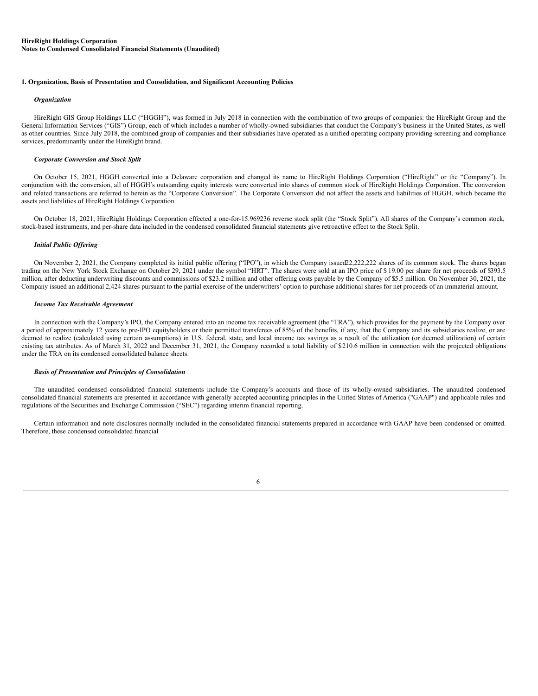## <span id="page-8-0"></span>**1. Organization, Basis of Presentation and Consolidation, and Significant Accounting Policies**

## *Organization*

HireRight GIS Group Holdings LLC ("HGGH"), was formed in July 2018 in connection with the combination of two groups of companies: the HireRight Group and the General Information Services ("GIS") Group, each of which includes a number of wholly-owned subsidiaries that conduct the Company's business in the United States, as well as other countries. Since July 2018, the combined group of companies and their subsidiaries have operated as a unified operating company providing screening and compliance services, predominantly under the HireRight brand.

#### *Corporate Conversion and Stock Split*

On October 15, 2021, HGGH converted into a Delaware corporation and changed its name to HireRight Holdings Corporation ("HireRight" or the "Company"). In conjunction with the conversion, all of HGGH's outstanding equity interests were converted into shares of common stock of HireRight Holdings Corporation. The conversion and related transactions are referred to herein as the "Corporate Conversion". The Corporate Conversion did not affect the assets and liabilities of HGGH, which became the assets and liabilities of HireRight Holdings Corporation.

On October 18, 2021, HireRight Holdings Corporation effected a one-for-15.969236 reverse stock split (the "Stock Split"). All shares of the Company's common stock, stock-based instruments, and per-share data included in the condensed consolidated financial statements give retroactive effect to the Stock Split.

#### *Initial Public Of ering*

On November 2, 2021, the Company completed its initial public offering ("IPO"), in which the Company issued22,222,222 shares of its common stock. The shares began trading on the New York Stock Exchange on October 29, 2021 under the symbol "HRT". The shares were sold at an IPO price of \$ 19.00 per share for net proceeds of \$393.5 million, after deducting underwriting discounts and commissions of \$23.2 million and other offering costs payable by the Company of \$5.5 million. On November 30, 2021, the Company issued an additional 2,424 shares pursuant to the partial exercise of the underwriters' option to purchase additional shares for net proceeds of an immaterial amount.

#### *Income Tax Receivable Agreement*

In connection with the Company's IPO, the Company entered into an income tax receivable agreement (the "TRA"), which provides for the payment by the Company over a period of approximately 12 years to pre-IPO equityholders or their permitted transferees of 85% of the benefits, if any, that the Company and its subsidiaries realize, or are deemed to realize (calculated using certain assumptions) in U.S. federal, state, and local income tax savings as a result of the utilization (or deemed utilization) of certain existing tax attributes. As of March 31, 2022 and December 31, 2021, the Company recorded a total liability of \$210.6 million in connection with the projected obligations under the TRA on its condensed consolidated balance sheets.

#### *Basis of Presentation and Principles of Consolidation*

The unaudited condensed consolidated financial statements include the Company's accounts and those of its wholly-owned subsidiaries. The unaudited condensed consolidated financial statements are presented in accordance with generally accepted accounting principles in the United States of America ("GAAP") and applicable rules and regulations of the Securities and Exchange Commission ("SEC") regarding interim financial reporting.

Certain information and note disclosures normally included in the consolidated financial statements prepared in accordance with GAAP have been condensed or omitted. Therefore, these condensed consolidated financial

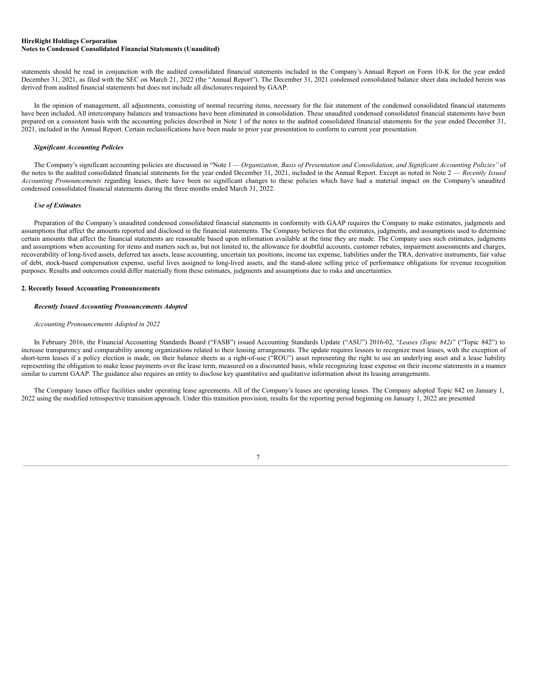## **Notes to Condensed Consolidated Financial Statements (Unaudited)**

statements should be read in conjunction with the audited consolidated financial statements included in the Company's Annual Report on Form 10-K for the year ended December 31, 2021, as filed with the SEC on March 21, 2022 (the "Annual Report"). The December 31, 2021 condensed consolidated balance sheet data included herein was derived from audited financial statements but does not include all disclosures required by GAAP.

In the opinion of management, all adjustments, consisting of normal recurring items, necessary for the fair statement of the condensed consolidated financial statements have been included. All intercompany balances and transactions have been eliminated in consolidation. These unaudited condensed consolidated financial statements have been prepared on a consistent basis with the accounting policies described in Note 1 of the notes to the audited consolidated financial statements for the year ended December 31, 2021, included in the Annual Report. Certain reclassifications have been made to prior year presentation to conform to current year presentation.

#### *Significant Accounting Policies*

The Company's significant accounting policies are discussed in "Note 1—Organization, Basis of Presentation and Consolidation, and Significant Accounting Policies" of the notes to the audited consolidated financial statements for the year ended December 31, 2021, included in the Annual Report. Except as noted in Note 2 — *Recently Issued Accounting Pronouncements* regarding leases, there have been no significant changes to these policies which have had a material impact on the Company's unaudited condensed consolidated financial statements during the three months ended March 31, 2022.

#### *Use of Estimates*

Preparation of the Company's unaudited condensed consolidated financial statements in conformity with GAAP requires the Company to make estimates, judgments and assumptions that affect the amounts reported and disclosed in the financial statements. The Company believes that the estimates, judgments, and assumptions used to determine certain amounts that affect the financial statements are reasonable based upon information available at the time they are made. The Company uses such estimates, judgments and assumptions when accounting for items and matters such as, but not limited to, the allowance for doubtful accounts, customer rebates, impairment assessments and charges, recoverability of long-lived assets, deferred tax assets, lease accounting, uncertain tax positions, income tax expense, liabilities under the TRA, derivative instruments, fair value of debt, stock-based compensation expense, useful lives assigned to long-lived assets, and the stand-alone selling price of performance obligations for revenue recognition purposes. Results and outcomes could differ materially from these estimates, judgments and assumptions due to risks and uncertainties.

## **2. Recently Issued Accounting Pronouncements**

#### *Recently Issued Accounting Pronouncements Adopted*

## *Accounting Pronouncements Adopted in 2022*

In February 2016, the Financial Accounting Standards Board ("FASB") issued Accounting Standards Update ("ASU") 2016-02, "*Leases (Topic 842)*" ("Topic 842") to increase transparency and comparability among organizations related to their leasing arrangements. The update requires lessees to recognize most leases, with the exception of short-term leases if a policy election is made, on their balance sheets as a right-of-use ("ROU") asset representing the right to use an underlying asset and a lease liability representing the obligation to make lease payments over the lease term, measured on a discounted basis, while recognizing lease expense on their income statements in a manner similar to current GAAP. The guidance also requires an entity to disclose key quantitative and qualitative information about its leasing arrangements.

The Company leases office facilities under operating lease agreements. All of the Company's leases are operating leases. The Company adopted Topic 842 on January 1, 2022 using the modified retrospective transition approach. Under this transition provision, results for the reporting period beginning on January 1, 2022 are presented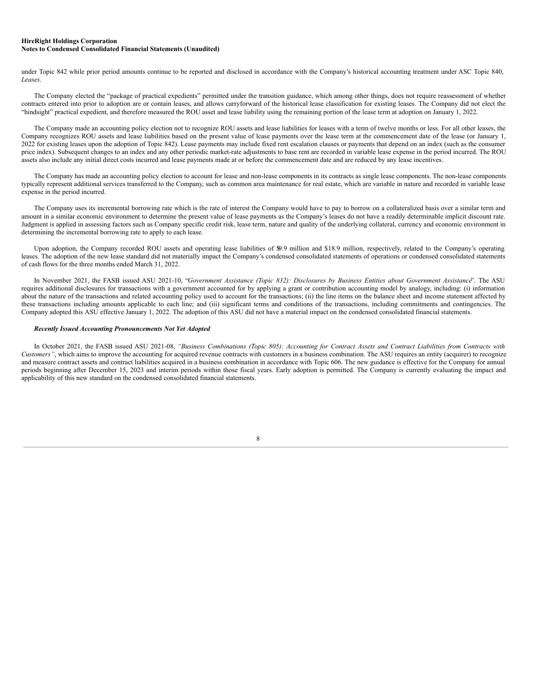## **Notes to Condensed Consolidated Financial Statements (Unaudited)**

under Topic 842 while prior period amounts continue to be reported and disclosed in accordance with the Company's historical accounting treatment under ASC Topic 840, *Leases*.

The Company elected the "package of practical expedients" permitted under the transition guidance, which among other things, does not require reassessment of whether contracts entered into prior to adoption are or contain leases, and allows carryforward of the historical lease classification for existing leases. The Company did not elect the "hindsight" practical expedient, and therefore measured the ROU asset and lease liability using the remaining portion of the lease term at adoption on January 1, 2022.

The Company made an accounting policy election not to recognize ROU assets and lease liabilities for leases with a term of twelve months or less. For all other leases, the Company recognizes ROU assets and lease liabilities based on the present value of lease payments over the lease term at the commencement date of the lease (or January 1, 2022 for existing leases upon the adoption of Topic 842). Lease payments may include fixed rent escalation clauses or payments that depend on an index (such as the consumer price index). Subsequent changes to an index and any other periodic market-rate adjustments to base rent are recorded in variable lease expense in the period incurred. The ROU assets also include any initial direct costs incurred and lease payments made at or before the commencement date and are reduced by any lease incentives.

The Company has made an accounting policy election to account for lease and non-lease components in its contracts as single lease components. The non-lease components typically represent additional services transferred to the Company, such as common area maintenance for real estate, which are variable in nature and recorded in variable lease expense in the period incurred.

The Company uses its incremental borrowing rate which is the rate of interest the Company would have to pay to borrow on a collateralized basis over a similar term and amount in a similar economic environment to determine the present value of lease payments as the Company's leases do not have a readily determinable implicit discount rate. Judgment is applied in assessing factors such as Company specific credit risk, lease term, nature and quality of the underlying collateral, currency and economic environment in determining the incremental borrowing rate to apply to each lease.

Upon adoption, the Company recorded ROU assets and operating lease liabilities of \$9.9 million and \$18.9 million, respectively, related to the Company's operating leases. The adoption of the new lease standard did not materially impact the Company's condensed consolidated statements of operations or condensed consolidated statements of cash flows for the three months ended March 31, 2022.

In November 2021, the FASB issued ASU 2021-10, "Government Assistance (Topic 832): Disclosures by Business Entities about Government Assistance". The ASU requires additional disclosures for transactions with a government accounted for by applying a grant or contribution accounting model by analogy, including: (i) information about the nature of the transactions and related accounting policy used to account for the transactions; (ii) the line items on the balance sheet and income statement affected by these transactions including amounts applicable to each line; and (iii) significant terms and conditions of the transactions, including commitments and contingencies. The Company adopted this ASU effective January 1, 2022. The adoption of this ASU did not have a material impact on the condensed consolidated financial statements.

#### *Recently Issued Accounting Pronouncements Not Yet Adopted*

In October 2021, the FASB issued ASU 2021-08, "Business Combinations (Topic 805): Accounting for Contract Assets and Contract Liabilities from Contracts with *Customers"*, which aims to improve the accounting for acquired revenue contracts with customers in a business combination. The ASU requires an entity (acquirer) to recognize and measure contract assets and contract liabilities acquired in a business combination in accordance with Topic 606. The new guidance is effective for the Company for annual periods beginning after December 15, 2023 and interim periods within those fiscal years. Early adoption is permitted. The Company is currently evaluating the impact and applicability of this new standard on the condensed consolidated financial statements.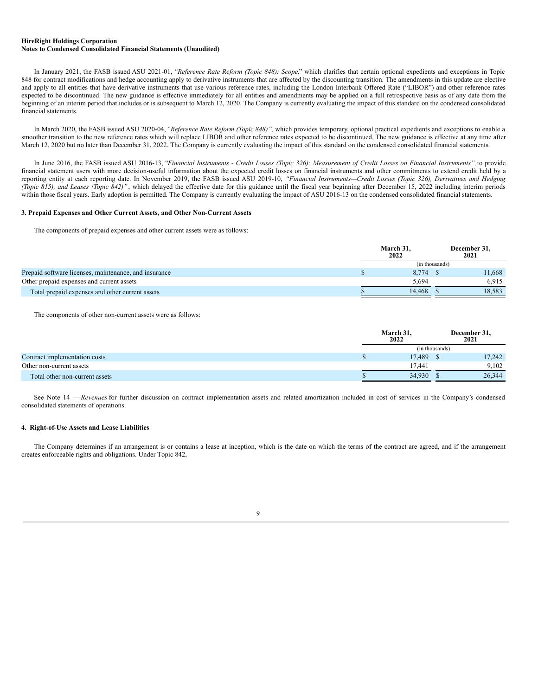#### **HireRight Holdings Corporation Notes to Condensed Consolidated Financial Statements (Unaudited)**

In January 2021, the FASB issued ASU 2021-01, *"Reference Rate Reform (Topic 848): Scope,*" which clarifies that certain optional expedients and exceptions in Topic 848 for contract modifications and hedge accounting apply to derivative instruments that are affected by the discounting transition. The amendments in this update are elective and apply to all entities that have derivative instruments that use various reference rates, including the London Interbank Offered Rate ("LIBOR") and other reference rates expected to be discontinued. The new guidance is effective immediately for all entities and amendments may be applied on a full retrospective basis as of any date from the beginning of an interim period that includes or is subsequent to March 12, 2020. The Company is currently evaluating the impact of this standard on the condensed consolidated financial statements.

In March 2020, the FASB issued ASU 2020-04, *"Reference Rate Reform (Topic 848)",* which provides temporary, optional practical expedients and exceptions to enable a smoother transition to the new reference rates which will replace LIBOR and other reference rates expected to be discontinued. The new guidance is effective at any time after March 12, 2020 but no later than December 31, 2022. The Company is currently evaluating the impact of this standard on the condensed consolidated financial statements.

In June 2016, the FASB issued ASU 2016-13, "Financial Instruments - Credit Losses (Topic 326): Measurement of Credit Losses on Financial Instruments", to provide financial statement users with more decision-useful information about the expected credit losses on financial instruments and other commitments to extend credit held by a reporting entity at each reporting date. In November 2019, the FASB issued ASU 2019-10, *"Financial Instruments—Credit Losses (Topic 326), Derivatives and Hedging (Topic 815), and Leases (Topic 842)"* , which delayed the effective date for this guidance until the fiscal year beginning after December 15, 2022 including interim periods within those fiscal years. Early adoption is permitted. The Company is currently evaluating the impact of ASU 2016-13 on the condensed consolidated financial statements.

## **3. Prepaid Expenses and Other Current Assets, and Other Non-Current Assets**

The components of prepaid expenses and other current assets were as follows:

|                                                       | March 31.<br>2022 |                | December 31,<br>2021 |
|-------------------------------------------------------|-------------------|----------------|----------------------|
|                                                       |                   | (in thousands) |                      |
| Prepaid software licenses, maintenance, and insurance | 8.774             |                | 11,668               |
| Other prepaid expenses and current assets             | 5.694             |                | 6.915                |
| Total prepaid expenses and other current assets       | 14.468            |                | 18.583               |

The components of other non-current assets were as follows:

|                                | March 31,<br>2022 | December 31,<br>2021 |
|--------------------------------|-------------------|----------------------|
|                                | (in thousands)    |                      |
| Contract implementation costs  | 17.489            | 17.242               |
| Other non-current assets       | 17.441            | 9,102                |
| Total other non-current assets | 34.930            | 26,344               |

See Note 14 — *Revenues* for further discussion on contract implementation assets and related amortization included in cost of services in the Company's condensed consolidated statements of operations.

## **4. Right-of-Use Assets and Lease Liabilities**

The Company determines if an arrangement is or contains a lease at inception, which is the date on which the terms of the contract are agreed, and if the arrangement creates enforceable rights and obligations. Under Topic 842,

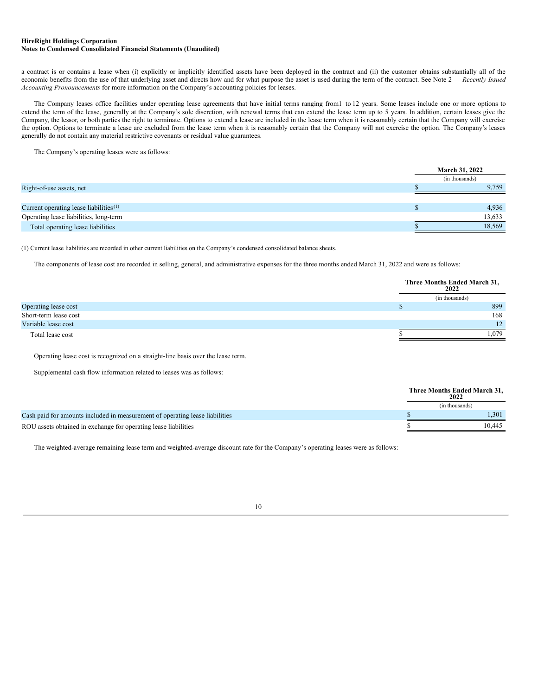## **Notes to Condensed Consolidated Financial Statements (Unaudited)**

a contract is or contains a lease when (i) explicitly or implicitly identified assets have been deployed in the contract and (ii) the customer obtains substantially all of the economic benefits from the use of that underlying asset and directs how and for what purpose the asset is used during the term of the contract. See Note 2 — *Recently Issued Accounting Pronouncements* for more information on the Company's accounting policies for leases.

The Company leases office facilities under operating lease agreements that have initial terms ranging from1 to 12 years. Some leases include one or more options to extend the term of the lease, generally at the Company's sole discretion, with renewal terms that can extend the lease term up to 5 years. In addition, certain leases give the Company, the lessor, or both parties the right to terminate. Options to extend a lease are included in the lease term when it is reasonably certain that the Company will exercise the option. Options to terminate a lease are excluded from the lease term when it is reasonably certain that the Company will not exercise the option. The Company's leases generally do not contain any material restrictive covenants or residual value guarantees.

The Company's operating leases were as follows:

|                                           | <b>March 31, 2022</b> |                |  |
|-------------------------------------------|-----------------------|----------------|--|
|                                           |                       | (in thousands) |  |
| Right-of-use assets, net                  |                       | 9.759          |  |
|                                           |                       |                |  |
| Current operating lease liabilities $(1)$ |                       | 4,936          |  |
| Operating lease liabilities, long-term    |                       | 13,633         |  |
| Total operating lease liabilities         |                       | 18,569         |  |

(1) Current lease liabilities are recorded in other current liabilities on the Company's condensed consolidated balance sheets.

The components of lease cost are recorded in selling, general, and administrative expenses for the three months ended March 31, 2022 and were as follows:

|                       | Three Months Ended March 31,<br>2022 |
|-----------------------|--------------------------------------|
|                       | (in thousands)                       |
| Operating lease cost  | 899                                  |
| Short-term lease cost | 168                                  |
| Variable lease cost   | 12                                   |
| Total lease cost      | .079                                 |

Operating lease cost is recognized on a straight-line basis over the lease term.

Supplemental cash flow information related to leases was as follows:

|                                                                              | Three Months Ended March 31,<br>2022 |
|------------------------------------------------------------------------------|--------------------------------------|
|                                                                              | (in thousands)                       |
| Cash paid for amounts included in measurement of operating lease liabilities | .301                                 |
| ROU assets obtained in exchange for operating lease liabilities              | 10.445                               |

The weighted-average remaining lease term and weighted-average discount rate for the Company's operating leases were as follows: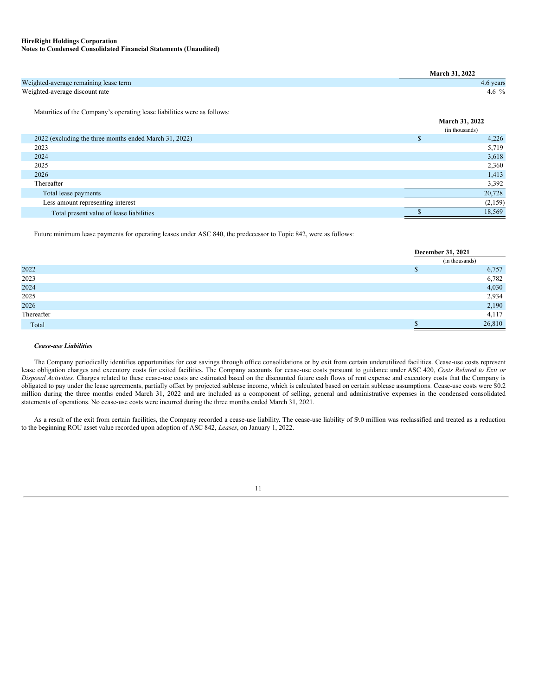**Notes to Condensed Consolidated Financial Statements (Unaudited)**

|                                       | <b>March 31, 2022</b> |
|---------------------------------------|-----------------------|
| Weighted-average remaining lease term | 4.6 years             |
| Weighted-average discount rate        | 4.6 $\%$              |

Maturities of the Company's operating lease liabilities were as follows:

|                                                        | March 31, 2022 |  |  |
|--------------------------------------------------------|----------------|--|--|
|                                                        | (in thousands) |  |  |
| 2022 (excluding the three months ended March 31, 2022) | 4,226          |  |  |
| 2023                                                   | 5,719          |  |  |
| 2024                                                   | 3,618          |  |  |
| 2025                                                   | 2,360          |  |  |
| 2026                                                   | 1,413          |  |  |
| Thereafter                                             | 3,392          |  |  |
| Total lease payments                                   | 20,728         |  |  |
| Less amount representing interest                      | (2,159)        |  |  |
| Total present value of lease liabilities               | 18,569         |  |  |

Future minimum lease payments for operating leases under ASC 840, the predecessor to Topic 842, were as follows:

|            | December 31, 2021 |  |  |
|------------|-------------------|--|--|
|            | (in thousands)    |  |  |
| 2022       | 6,757             |  |  |
| 2023       | 6,782             |  |  |
| 2024       | 4,030             |  |  |
| 2025       | 2,934             |  |  |
| 2026       | 2,190             |  |  |
| Thereafter | 4,117             |  |  |
| Total      | 26,810            |  |  |

#### *Cease-use Liabilities*

The Company periodically identifies opportunities for cost savings through office consolidations or by exit from certain underutilized facilities. Cease-use costs represent lease obligation charges and executory costs for exited facilities. The Company accounts for cease-use costs pursuant to guidance under ASC 420, *Costs Related to Exit or Disposal Activities*. Charges related to these cease-use costs are estimated based on the discounted future cash flows of rent expense and executory costs that the Company is obligated to pay under the lease agreements, partially offset by projected sublease income, which is calculated based on certain sublease assumptions. Cease-use costs were \$0.2 million during the three months ended March 31, 2022 and are included as a component of selling, general and administrative expenses in the condensed consolidated statements of operations. No cease-use costs were incurred during the three months ended March 31, 2021.

As a result of the exit from certain facilities, the Company recorded a cease-use liability. The cease-use liability of \$9.0 million was reclassified and treated as a reduction to the beginning ROU asset value recorded upon adoption of ASC 842, *Leases*, on January 1, 2022.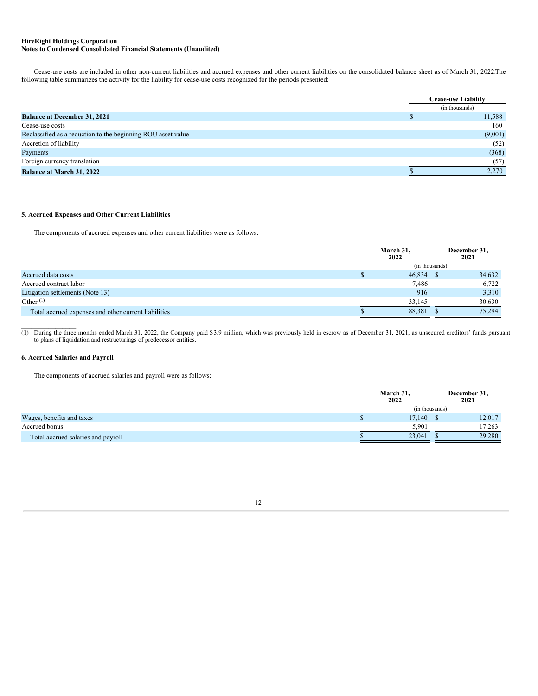**Notes to Condensed Consolidated Financial Statements (Unaudited)**

Cease-use costs are included in other non-current liabilities and accrued expenses and other current liabilities on the consolidated balance sheet as of March 31, 2022.The following table summarizes the activity for the liability for cease-use costs recognized for the periods presented:

|                                                              | <b>Cease-use Liability</b> |
|--------------------------------------------------------------|----------------------------|
|                                                              | (in thousands)             |
| <b>Balance at December 31, 2021</b>                          | 11,588                     |
| Cease-use costs                                              | 160                        |
| Reclassified as a reduction to the beginning ROU asset value | (9,001)                    |
| Accretion of liability                                       | (52)                       |
| Payments                                                     | (368)                      |
| Foreign currency translation                                 | (57)                       |
| <b>Balance at March 31, 2022</b>                             | 2,270                      |

## **5. Accrued Expenses and Other Current Liabilities**

The components of accrued expenses and other current liabilities were as follows:

|                                                      |                | March 31.<br>2022 |  | December 31,<br>2021 |
|------------------------------------------------------|----------------|-------------------|--|----------------------|
|                                                      | (in thousands) |                   |  |                      |
| Accrued data costs                                   |                | 46,834            |  | 34,632               |
| Accrued contract labor                               |                | 7,486             |  | 6,722                |
| Litigation settlements (Note 13)                     |                | 916               |  | 3,310                |
| Other $(1)$                                          |                | 33.145            |  | 30,630               |
| Total accrued expenses and other current liabilities |                | 88,381            |  | 75,294               |

(1) During the three months ended March 31, 2022, the Company paid \$3.9 million, which was previously held in escrow as of December 31, 2021, as unsecured creditors' funds pursuant to plans of liquidation and restructurings of predecessor entities.

# **6. Accrued Salaries and Payroll**

 $\mathcal{L}_\text{max}$ 

The components of accrued salaries and payroll were as follows:

|                                    | March 31,<br>2022 | December 31,<br>2021 |
|------------------------------------|-------------------|----------------------|
|                                    | (in thousands)    |                      |
| Wages, benefits and taxes          | $17,140$ \$       | 12,017               |
| Accrued bonus                      | 5.901             | 17.263               |
| Total accrued salaries and payroll | 23,041            | 29,280               |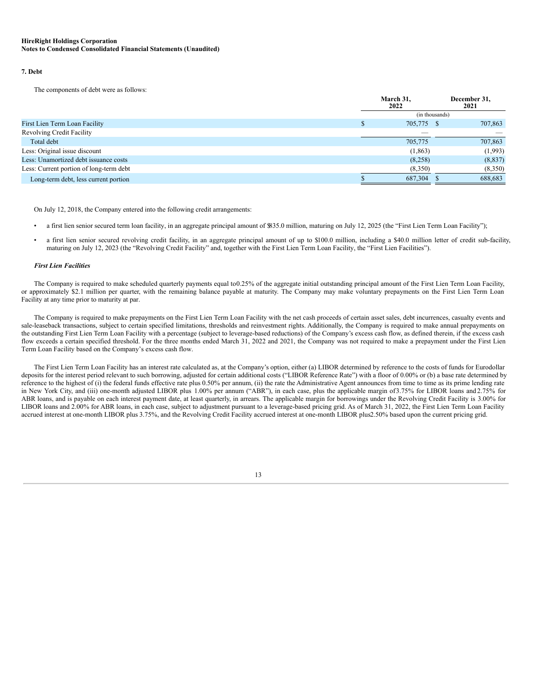**Notes to Condensed Consolidated Financial Statements (Unaudited)**

#### **7. Debt**

The components of debt were as follows:

|                                         | March 31,<br>2022        |                | December 31,<br>2021 |
|-----------------------------------------|--------------------------|----------------|----------------------|
|                                         |                          | (in thousands) |                      |
| First Lien Term Loan Facility           | 705,775 \$               |                | 707,863              |
| <b>Revolving Credit Facility</b>        | $\overline{\phantom{a}}$ |                |                      |
| Total debt                              | 705,775                  |                | 707,863              |
| Less: Original issue discount           | (1,863)                  |                | (1,993)              |
| Less: Unamortized debt issuance costs   | (8,258)                  |                | (8, 837)             |
| Less: Current portion of long-term debt | (8,350)                  |                | (8,350)              |
| Long-term debt, less current portion    | 687.304                  |                | 688,683              |

On July 12, 2018, the Company entered into the following credit arrangements:

- a first lien senior secured term loan facility, in an aggregate principal amount of \$835.0 million, maturing on July 12, 2025 (the "First Lien Term Loan Facility");
- a first lien senior secured revolving credit facility, in an aggregate principal amount of up to \$100.0 million, including a \$40.0 million letter of credit sub-facility, maturing on July 12, 2023 (the "Revolving Credit Facility" and, together with the First Lien Term Loan Facility, the "First Lien Facilities").

## *First Lien Facilities*

The Company is required to make scheduled quarterly payments equal to0.25% of the aggregate initial outstanding principal amount of the First Lien Term Loan Facility, or approximately \$2.1 million per quarter, with the remaining balance payable at maturity. The Company may make voluntary prepayments on the First Lien Term Loan Facility at any time prior to maturity at par.

The Company is required to make prepayments on the First Lien Term Loan Facility with the net cash proceeds of certain asset sales, debt incurrences, casualty events and sale-leaseback transactions, subject to certain specified limitations, thresholds and reinvestment rights. Additionally, the Company is required to make annual prepayments on the outstanding First Lien Term Loan Facility with a percentage (subject to leverage-based reductions) of the Company's excess cash flow, as defined therein, if the excess cash flow exceeds a certain specified threshold. For the three months ended March 31, 2022 and 2021, the Company was not required to make a prepayment under the First Lien Term Loan Facility based on the Company's excess cash flow.

The First Lien Term Loan Facility has an interest rate calculated as, at the Company's option, either (a) LIBOR determined by reference to the costs of funds for Eurodollar deposits for the interest period relevant to such borrowing, adjusted for certain additional costs ("LIBOR Reference Rate") with a floor of 0.00% or (b) a base rate determined by reference to the highest of (i) the federal funds effective rate plus 0.50% per annum, (ii) the rate the Administrative Agent announces from time to time as its prime lending rate in New York City, and (iii) one-month adjusted LIBOR plus 1.00% per annum ("ABR"), in each case, plus the applicable margin of3.75% for LIBOR loans and 2.75% for ABR loans, and is payable on each interest payment date, at least quarterly, in arrears. The applicable margin for borrowings under the Revolving Credit Facility is 3.00% for LIBOR loans and 2.00% for ABR loans, in each case, subject to adjustment pursuant to a leverage-based pricing grid. As of March 31, 2022, the First Lien Term Loan Facility accrued interest at one-month LIBOR plus 3.75%, and the Revolving Credit Facility accrued interest at one-month LIBOR plus2.50% based upon the current pricing grid.

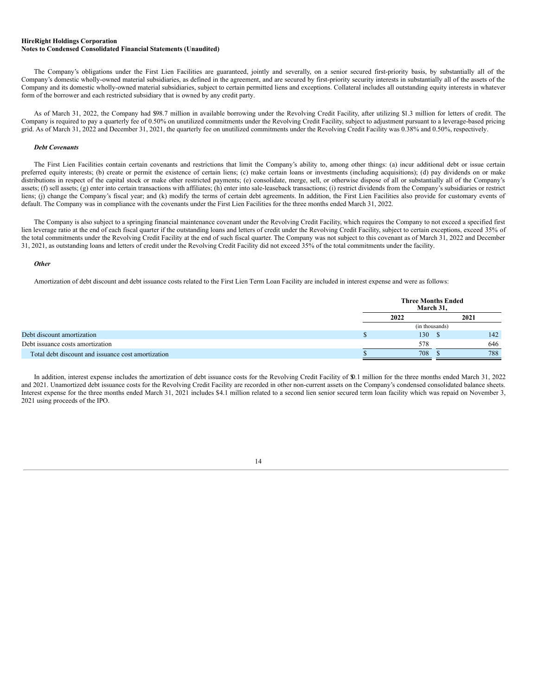## **Notes to Condensed Consolidated Financial Statements (Unaudited)**

The Company's obligations under the First Lien Facilities are guaranteed, jointly and severally, on a senior secured first-priority basis, by substantially all of the Company's domestic wholly-owned material subsidiaries, as defined in the agreement, and are secured by first-priority security interests in substantially all of the assets of the Company and its domestic wholly-owned material subsidiaries, subject to certain permitted liens and exceptions. Collateral includes all outstanding equity interests in whatever form of the borrower and each restricted subsidiary that is owned by any credit party.

As of March 31, 2022, the Company had \$98.7 million in available borrowing under the Revolving Credit Facility, after utilizing \$1.3 million for letters of credit. The Company is required to pay a quarterly fee of 0.50% on unutilized commitments under the Revolving Credit Facility, subject to adjustment pursuant to a leverage-based pricing grid. As of March 31, 2022 and December 31, 2021, the quarterly fee on unutilized commitments under the Revolving Credit Facility was 0.38% and 0.50%, respectively.

#### *Debt Covenants*

The First Lien Facilities contain certain covenants and restrictions that limit the Company's ability to, among other things: (a) incur additional debt or issue certain preferred equity interests; (b) create or permit the existence of certain liens; (c) make certain loans or investments (including acquisitions); (d) pay dividends on or make distributions in respect of the capital stock or make other restricted payments; (e) consolidate, merge, sell, or otherwise dispose of all or substantially all of the Company's assets; (f) sell assets; (g) enter into certain transactions with affiliates; (h) enter into sale-leaseback transactions; (i) restrict dividends from the Company's subsidiaries or restrict liens; (j) change the Company's fiscal year; and (k) modify the terms of certain debt agreements. In addition, the First Lien Facilities also provide for customary events of default. The Company was in compliance with the covenants under the First Lien Facilities for the three months ended March 31, 2022.

The Company is also subject to a springing financial maintenance covenant under the Revolving Credit Facility, which requires the Company to not exceed a specified first lien leverage ratio at the end of each fiscal quarter if the outstanding loans and letters of credit under the Revolving Credit Facility, subject to certain exceptions, exceed 35% of the total commitments under the Revolving Credit Facility at the end of such fiscal quarter. The Company was not subject to this covenant as of March 31, 2022 and December 31, 2021, as outstanding loans and letters of credit under the Revolving Credit Facility did not exceed 35% of the total commitments under the facility.

#### *Other*

Amortization of debt discount and debt issuance costs related to the First Lien Term Loan Facility are included in interest expense and were as follows:

|                                                    | <b>Three Months Ended</b><br>March 31. |      |
|----------------------------------------------------|----------------------------------------|------|
|                                                    | 2022                                   | 2021 |
|                                                    | (in thousands)                         |      |
| Debt discount amortization                         | 130                                    | 142  |
| Debt issuance costs amortization                   | 578                                    | 646  |
| Total debt discount and issuance cost amortization | 708                                    | 788  |

In addition, interest expense includes the amortization of debt issuance costs for the Revolving Credit Facility of \$0.1 million for the three months ended March 31, 2022 and 2021. Unamortized debt issuance costs for the Revolving Credit Facility are recorded in other non-current assets on the Company's condensed consolidated balance sheets. Interest expense for the three months ended March 31, 2021 includes \$4.1 million related to a second lien senior secured term loan facility which was repaid on November 3, 2021 using proceeds of the IPO.

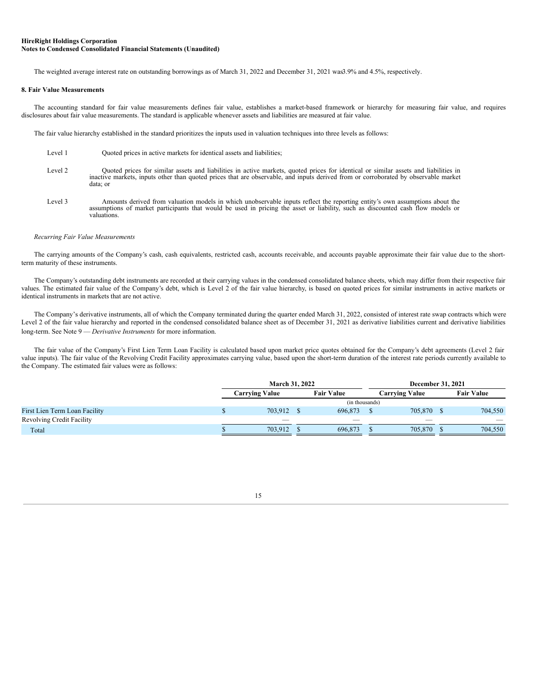# **Notes to Condensed Consolidated Financial Statements (Unaudited)**

The weighted average interest rate on outstanding borrowings as of March 31, 2022 and December 31, 2021 was3.9% and 4.5%, respectively.

#### **8. Fair Value Measurements**

The accounting standard for fair value measurements defines fair value, establishes a market-based framework or hierarchy for measuring fair value, and requires disclosures about fair value measurements. The standard is applicable whenever assets and liabilities are measured at fair value.

The fair value hierarchy established in the standard prioritizes the inputs used in valuation techniques into three levels as follows:

- Level 1 Quoted prices in active markets for identical assets and liabilities;
- Level 2 Quoted prices for similar assets and liabilities in active markets, quoted prices for identical or similar assets and liabilities in inactive markets, inputs other than quoted prices that are observable, and inputs derived from or corroborated by observable market data; or
- Level 3 Amounts derived from valuation models in which unobservable inputs reflect the reporting entity's own assumptions about the assumptions of market participants that would be used in pricing the asset or liability, such as discounted cash flow models or valuations.

## *Recurring Fair Value Measurements*

The carrying amounts of the Company's cash, cash equivalents, restricted cash, accounts receivable, and accounts payable approximate their fair value due to the shortterm maturity of these instruments.

The Company's outstanding debt instruments are recorded at their carrying values in the condensed consolidated balance sheets, which may differ from their respective fair values. The estimated fair value of the Company's debt, which is Level 2 of the fair value hierarchy, is based on quoted prices for similar instruments in active markets or identical instruments in markets that are not active.

The Company's derivative instruments, all of which the Company terminated during the quarter ended March 31, 2022, consisted of interest rate swap contracts which were Level 2 of the fair value hierarchy and reported in the condensed consolidated balance sheet as of December 31, 2021 as derivative liabilities current and derivative liabilities long-term. See Note 9 — *Derivative Instruments* for more information.

The fair value of the Company's First Lien Term Loan Facility is calculated based upon market price quotes obtained for the Company's debt agreements (Level 2 fair value inputs). The fair value of the Revolving Credit Facility approximates carrying value, based upon the short-term duration of the interest rate periods currently available to the Company. The estimated fair values were as follows:

|                                  | <b>March 31, 2022</b> |                |  |                          | <b>December 31, 2021</b> |                       |  |                          |
|----------------------------------|-----------------------|----------------|--|--------------------------|--------------------------|-----------------------|--|--------------------------|
|                                  |                       | Carrving Value |  | <b>Fair Value</b>        |                          | <b>Carrying Value</b> |  | <b>Fair Value</b>        |
|                                  | (in thousands)        |                |  |                          |                          |                       |  |                          |
| First Lien Term Loan Facility    |                       | 703,912 \$     |  | 696,873                  |                          | 705.870 \$            |  | 704,550                  |
| <b>Revolving Credit Facility</b> |                       |                |  | $\overline{\phantom{a}}$ |                          |                       |  | $\overline{\phantom{a}}$ |
| Total                            |                       | 703,912        |  | 696,873                  |                          | 705,870               |  | 704,550                  |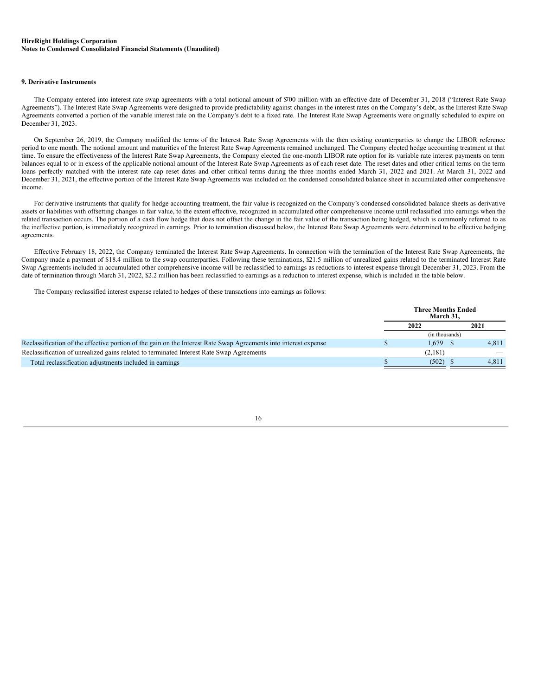**Notes to Condensed Consolidated Financial Statements (Unaudited)**

## **9. Derivative Instruments**

The Company entered into interest rate swap agreements with a total notional amount of \$700 million with an effective date of December 31, 2018 ("Interest Rate Swap Agreements"). The Interest Rate Swap Agreements were designed to provide predictability against changes in the interest rates on the Company's debt, as the Interest Rate Swap Agreements converted a portion of the variable interest rate on the Company's debt to a fixed rate. The Interest Rate Swap Agreements were originally scheduled to expire on December 31, 2023.

On September 26, 2019, the Company modified the terms of the Interest Rate Swap Agreements with the then existing counterparties to change the LIBOR reference period to one month. The notional amount and maturities of the Interest Rate Swap Agreements remained unchanged. The Company elected hedge accounting treatment at that time. To ensure the effectiveness of the Interest Rate Swap Agreements, the Company elected the one-month LIBOR rate option for its variable rate interest payments on term balances equal to or in excess of the applicable notional amount of the Interest Rate Swap Agreements as of each reset date. The reset dates and other critical terms on the term loans perfectly matched with the interest rate cap reset dates and other critical terms during the three months ended March 31, 2022 and 2021. At March 31, 2022 and December 31, 2021, the effective portion of the Interest Rate Swap Agreements was included on the condensed consolidated balance sheet in accumulated other comprehensive income.

For derivative instruments that qualify for hedge accounting treatment, the fair value is recognized on the Company's condensed consolidated balance sheets as derivative assets or liabilities with offsetting changes in fair value, to the extent effective, recognized in accumulated other comprehensive income until reclassified into earnings when the related transaction occurs. The portion of a cash flow hedge that does not offset the change in the fair value of the transaction being hedged, which is commonly referred to as the ineffective portion, is immediately recognized in earnings. Prior to termination discussed below, the Interest Rate Swap Agreements were determined to be effective hedging agreements.

Effective February 18, 2022, the Company terminated the Interest Rate Swap Agreements. In connection with the termination of the Interest Rate Swap Agreements, the Company made a payment of \$18.4 million to the swap counterparties. Following these terminations, \$21.5 million of unrealized gains related to the terminated Interest Rate Swap Agreements included in accumulated other comprehensive income will be reclassified to earnings as reductions to interest expense through December 31, 2023. From the date of termination through March 31, 2022, \$2.2 million has been reclassified to earnings as a reduction to interest expense, which is included in the table below.

The Company reclassified interest expense related to hedges of these transactions into earnings as follows:

|                                                                                                                  | <b>Three Months Ended</b><br>March 31. |       |
|------------------------------------------------------------------------------------------------------------------|----------------------------------------|-------|
|                                                                                                                  | 2022                                   | 2021  |
|                                                                                                                  | (in thousands)                         |       |
| Reclassification of the effective portion of the gain on the Interest Rate Swap Agreements into interest expense | $1.679$ \$                             | 4.811 |
| Reclassification of unrealized gains related to terminated Interest Rate Swap Agreements                         | (2,181)                                | -     |
| Total reclassification adjustments included in earnings                                                          | (502)                                  | 4.811 |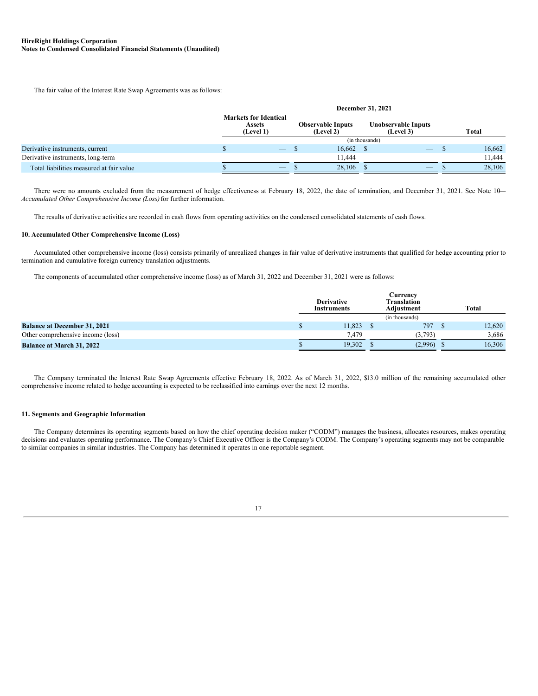The fair value of the Interest Rate Swap Agreements was as follows:

|                                          | December 31, 2021                                          |  |                                       |                |                                  |  |              |
|------------------------------------------|------------------------------------------------------------|--|---------------------------------------|----------------|----------------------------------|--|--------------|
|                                          | <b>Markets for Identical</b><br><b>Assets</b><br>(Level 1) |  | <b>Observable Inputs</b><br>(Level 2) |                | Unobservable Inputs<br>(Level 3) |  | <b>Total</b> |
|                                          |                                                            |  |                                       | (in thousands) |                                  |  |              |
| Derivative instruments, current          | $\hspace{0.1mm}-\hspace{0.1mm}$                            |  | 16,662                                |                | $\hspace{0.1mm}-\hspace{0.1mm}$  |  | 16,662       |
| Derivative instruments, long-term        | _                                                          |  | 11.444                                |                |                                  |  | 11,444       |
| Total liabilities measured at fair value | $\hspace{0.1mm}-\hspace{0.1mm}$                            |  | 28,106                                |                |                                  |  | 28,106       |

There were no amounts excluded from the measurement of hedge effectiveness at February 18, 2022, the date of termination, and December 31, 2021. See Note 10— *Accumulated Other Comprehensive Income (Loss)*for further information.

The results of derivative activities are recorded in cash flows from operating activities on the condensed consolidated statements of cash flows.

#### **10. Accumulated Other Comprehensive Income (Loss)**

Accumulated other comprehensive income (loss) consists primarily of unrealized changes in fair value of derivative instruments that qualified for hedge accounting prior to termination and cumulative foreign currency translation adjustments.

The components of accumulated other comprehensive income (loss) as of March 31, 2022 and December 31, 2021 were as follows:

|                                     | <b>Derivative</b><br>Instruments | Currency<br><b>Translation</b><br>Adiustment | Total          |        |
|-------------------------------------|----------------------------------|----------------------------------------------|----------------|--------|
|                                     |                                  |                                              | (in thousands) |        |
| <b>Balance at December 31, 2021</b> | 11.823                           |                                              | 797            | 12.620 |
| Other comprehensive income (loss)   | 7.479                            |                                              | (3.793)        | 3.686  |
| <b>Balance at March 31, 2022</b>    | 19.302                           |                                              | (2,996)        | 16,306 |

The Company terminated the Interest Rate Swap Agreements effective February 18, 2022. As of March 31, 2022, \$13.0 million of the remaining accumulated other comprehensive income related to hedge accounting is expected to be reclassified into earnings over the next 12 months.

# **11. Segments and Geographic Information**

The Company determines its operating segments based on how the chief operating decision maker ("CODM") manages the business, allocates resources, makes operating decisions and evaluates operating performance. The Company's Chief Executive Officer is the Company's CODM. The Company's operating segments may not be comparable to similar companies in similar industries. The Company has determined it operates in one reportable segment.

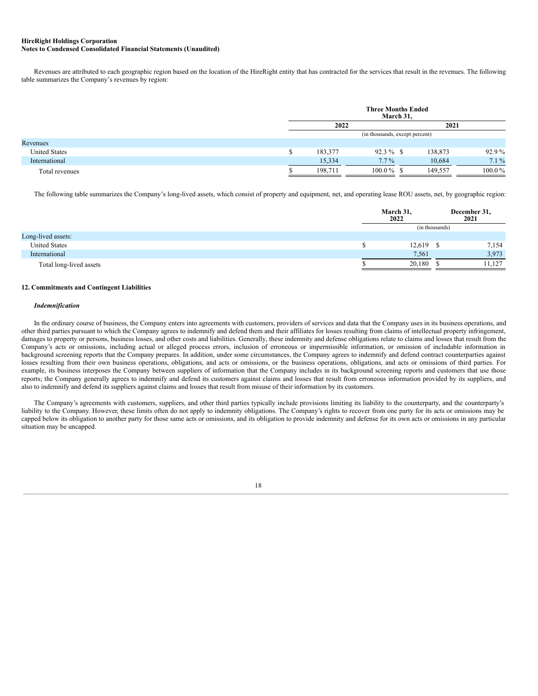# **Notes to Condensed Consolidated Financial Statements (Unaudited)**

Revenues are attributed to each geographic region based on the location of the HireRight entity that has contracted for the services that result in the revenues. The following table summarizes the Company's revenues by region:

|                      | <b>Three Months Ended</b><br>March 31, |              |  |         |         |  |
|----------------------|----------------------------------------|--------------|--|---------|---------|--|
|                      | 2021<br>2022                           |              |  |         |         |  |
|                      | (in thousands, except percent)         |              |  |         |         |  |
| Revenues             |                                        |              |  |         |         |  |
| <b>United States</b> | 183,377                                | $92.3\%$ \$  |  | 138,873 | 92.9%   |  |
| International        | 15,334                                 | $7.7\%$      |  | 10,684  | $7.1\%$ |  |
| Total revenues       | 198.711                                | $100.0\%$ \$ |  | 149.557 | 100.0%  |  |

The following table summarizes the Company's long-lived assets, which consist of property and equipment, net, and operating lease ROU assets, net, by geographic region:

|                         | March 31,<br>2022 | December 31,<br>2021 |        |  |
|-------------------------|-------------------|----------------------|--------|--|
|                         | (in thousands)    |                      |        |  |
| Long-lived assets:      |                   |                      |        |  |
| <b>United States</b>    | $12,619$ \$       |                      | 7,154  |  |
| International           | 7,561             |                      | 3,973  |  |
| Total long-lived assets | 20,180            |                      | 11,127 |  |

#### **12. Commitments and Contingent Liabilities**

#### *Indemnification*

In the ordinary course of business, the Company enters into agreements with customers, providers of services and data that the Company uses in its business operations, and other third parties pursuant to which the Company agrees to indemnify and defend them and their affiliates for losses resulting from claims of intellectual property infringement, damages to property or persons, business losses, and other costs and liabilities. Generally, these indemnity and defense obligations relate to claims and losses that result from the Company's acts or omissions, including actual or alleged process errors, inclusion of erroneous or impermissible information, or omission of includable information in background screening reports that the Company prepares. In addition, under some circumstances, the Company agrees to indemnify and defend contract counterparties against losses resulting from their own business operations, obligations, and acts or omissions, or the business operations, obligations, and acts or omissions of third parties. For example, its business interposes the Company between suppliers of information that the Company includes in its background screening reports and customers that use those reports; the Company generally agrees to indemnify and defend its customers against claims and losses that result from erroneous information provided by its suppliers, and also to indemnify and defend its suppliers against claims and losses that result from misuse of their information by its customers.

The Company's agreements with customers, suppliers, and other third parties typically include provisions limiting its liability to the counterparty, and the counterparty's liability to the Company. However, these limits often do not apply to indemnity obligations. The Company's rights to recover from one party for its acts or omissions may be capped below its obligation to another party for those same acts or omissions, and its obligation to provide indemnity and defense for its own acts or omissions in any particular situation may be uncapped.

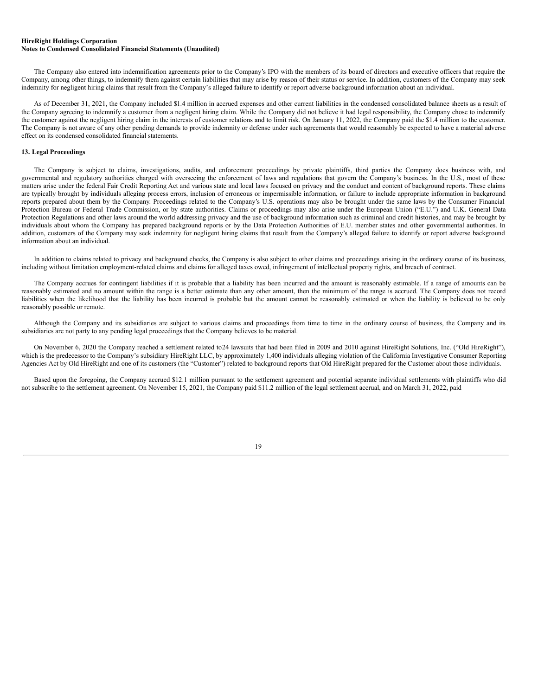## **Notes to Condensed Consolidated Financial Statements (Unaudited)**

The Company also entered into indemnification agreements prior to the Company's IPO with the members of its board of directors and executive officers that require the Company, among other things, to indemnify them against certain liabilities that may arise by reason of their status or service. In addition, customers of the Company may seek indemnity for negligent hiring claims that result from the Company's alleged failure to identify or report adverse background information about an individual.

As of December 31, 2021, the Company included \$1.4 million in accrued expenses and other current liabilities in the condensed consolidated balance sheets as a result of the Company agreeing to indemnify a customer from a negligent hiring claim. While the Company did not believe it had legal responsibility, the Company chose to indemnify the customer against the negligent hiring claim in the interests of customer relations and to limit risk. On January 11, 2022, the Company paid the \$1.4 million to the customer. The Company is not aware of any other pending demands to provide indemnity or defense under such agreements that would reasonably be expected to have a material adverse effect on its condensed consolidated financial statements.

#### **13. Legal Proceedings**

The Company is subject to claims, investigations, audits, and enforcement proceedings by private plaintiffs, third parties the Company does business with, and governmental and regulatory authorities charged with overseeing the enforcement of laws and regulations that govern the Company's business. In the U.S., most of these matters arise under the federal Fair Credit Reporting Act and various state and local laws focused on privacy and the conduct and content of background reports. These claims are typically brought by individuals alleging process errors, inclusion of erroneous or impermissible information, or failure to include appropriate information in background reports prepared about them by the Company. Proceedings related to the Company's U.S. operations may also be brought under the same laws by the Consumer Financial Protection Bureau or Federal Trade Commission, or by state authorities. Claims or proceedings may also arise under the European Union ("E.U.") and U.K. General Data Protection Regulations and other laws around the world addressing privacy and the use of background information such as criminal and credit histories, and may be brought by individuals about whom the Company has prepared background reports or by the Data Protection Authorities of E.U. member states and other governmental authorities. In addition, customers of the Company may seek indemnity for negligent hiring claims that result from the Company's alleged failure to identify or report adverse background information about an individual.

In addition to claims related to privacy and background checks, the Company is also subject to other claims and proceedings arising in the ordinary course of its business, including without limitation employment-related claims and claims for alleged taxes owed, infringement of intellectual property rights, and breach of contract.

The Company accrues for contingent liabilities if it is probable that a liability has been incurred and the amount is reasonably estimable. If a range of amounts can be reasonably estimated and no amount within the range is a better estimate than any other amount, then the minimum of the range is accrued. The Company does not record liabilities when the likelihood that the liability has been incurred is probable but the amount cannot be reasonably estimated or when the liability is believed to be only reasonably possible or remote.

Although the Company and its subsidiaries are subject to various claims and proceedings from time to time in the ordinary course of business, the Company and its subsidiaries are not party to any pending legal proceedings that the Company believes to be material.

On November 6, 2020 the Company reached a settlement related to24 lawsuits that had been filed in 2009 and 2010 against HireRight Solutions, Inc. ("Old HireRight"), which is the predecessor to the Company's subsidiary HireRight LLC, by approximately 1,400 individuals alleging violation of the California Investigative Consumer Reporting Agencies Act by Old HireRight and one of its customers (the "Customer") related to background reports that Old HireRight prepared for the Customer about those individuals.

Based upon the foregoing, the Company accrued \$12.1 million pursuant to the settlement agreement and potential separate individual settlements with plaintiffs who did not subscribe to the settlement agreement. On November 15, 2021, the Company paid \$11.2 million of the legal settlement accrual, and on March 31, 2022, paid

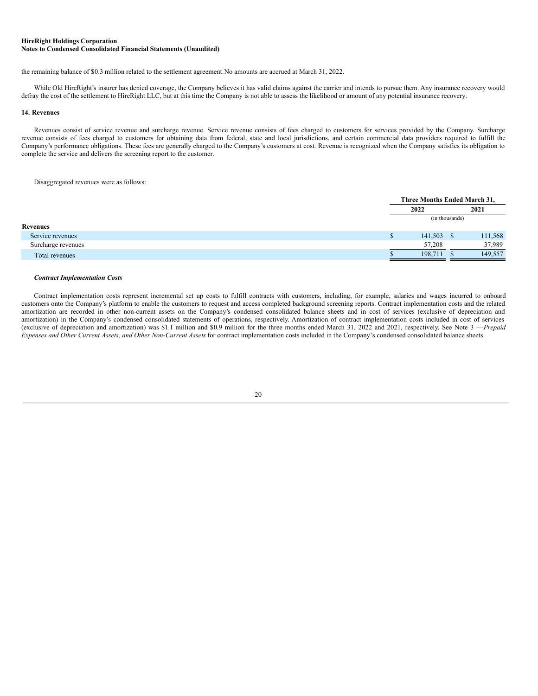# **Notes to Condensed Consolidated Financial Statements (Unaudited)**

the remaining balance of \$0.3 million related to the settlement agreement.No amounts are accrued at March 31, 2022.

While Old HireRight's insurer has denied coverage, the Company believes it has valid claims against the carrier and intends to pursue them. Any insurance recovery would defray the cost of the settlement to HireRight LLC, but at this time the Company is not able to assess the likelihood or amount of any potential insurance recovery.

#### **14. Revenues**

Revenues consist of service revenue and surcharge revenue. Service revenue consists of fees charged to customers for services provided by the Company. Surcharge revenue consists of fees charged to customers for obtaining data from federal, state and local jurisdictions, and certain commercial data providers required to fulfill the Company's performance obligations. These fees are generally charged to the Company's customers at cost. Revenue is recognized when the Company satisfies its obligation to complete the service and delivers the screening report to the customer.

Disaggregated revenues were as follows:

|                    | Three Months Ended March 31, |      |         |  |
|--------------------|------------------------------|------|---------|--|
|                    | 2021<br>2022                 |      |         |  |
|                    | (in thousands)               |      |         |  |
| <b>Revenues</b>    |                              |      |         |  |
| Service revenues   | 141,503                      | - \$ | 111,568 |  |
| Surcharge revenues | 57,208                       |      | 37,989  |  |
| Total revenues     | 198,711                      |      | 149,557 |  |

#### *Contract Implementation Costs*

Contract implementation costs represent incremental set up costs to fulfill contracts with customers, including, for example, salaries and wages incurred to onboard customers onto the Company's platform to enable the customers to request and access completed background screening reports. Contract implementation costs and the related amortization are recorded in other non-current assets on the Company's condensed consolidated balance sheets and in cost of services (exclusive of depreciation and amortization) in the Company's condensed consolidated statements of operations, respectively. Amortization of contract implementation costs included in cost of services (exclusive of depreciation and amortization) was \$1.1 million and \$0.9 million for the three months ended March 31, 2022 and 2021, respectively. See Note 3 —*Prepaid* Expenses and Other Current Assets, and Other Non-Current Assets for contract implementation costs included in the Company's condensed consolidated balance sheets.

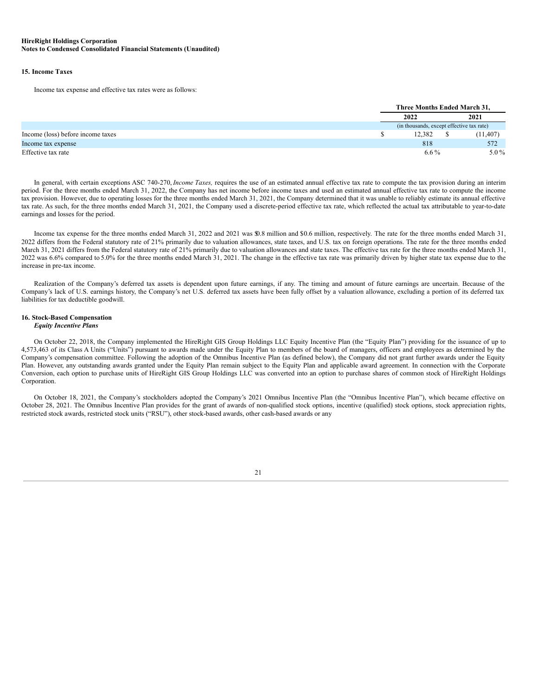**Notes to Condensed Consolidated Financial Statements (Unaudited)**

## **15. Income Taxes**

Income tax expense and effective tax rates were as follows:

|                                   | Three Months Ended March 31.              |  |           |  |
|-----------------------------------|-------------------------------------------|--|-----------|--|
|                                   | 2022                                      |  | 2021      |  |
|                                   | (in thousands, except effective tax rate) |  |           |  |
| Income (loss) before income taxes | 12.382                                    |  | (11, 407) |  |
| Income tax expense                | 818                                       |  | 572       |  |
| Effective tax rate                | $6.6\%$                                   |  | $5.0\%$   |  |

In general, with certain exceptions ASC 740-270, *Income Taxes,* requires the use of an estimated annual effective tax rate to compute the tax provision during an interim period. For the three months ended March 31, 2022, the Company has net income before income taxes and used an estimated annual effective tax rate to compute the income tax provision. However, due to operating losses for the three months ended March 31, 2021, the Company determined that it was unable to reliably estimate its annual effective tax rate. As such, for the three months ended March 31, 2021, the Company used a discrete-period effective tax rate, which reflected the actual tax attributable to year-to-date earnings and losses for the period.

Income tax expense for the three months ended March 31, 2022 and 2021 was \$0.8 million and \$0.6 million, respectively. The rate for the three months ended March 31, 2022 differs from the Federal statutory rate of 21% primarily due to valuation allowances, state taxes, and U.S. tax on foreign operations. The rate for the three months ended March 31, 2021 differs from the Federal statutory rate of 21% primarily due to valuation allowances and state taxes. The effective tax rate for the three months ended March 31, 2022 was 6.6% compared to 5.0% for the three months ended March 31, 2021. The change in the effective tax rate was primarily driven by higher state tax expense due to the increase in pre-tax income.

Realization of the Company's deferred tax assets is dependent upon future earnings, if any. The timing and amount of future earnings are uncertain. Because of the Company's lack of U.S. earnings history, the Company's net U.S. deferred tax assets have been fully offset by a valuation allowance, excluding a portion of its deferred tax liabilities for tax deductible goodwill.

# **16. Stock-Based Compensation**

# *Equity Incentive Plans*

On October 22, 2018, the Company implemented the HireRight GIS Group Holdings LLC Equity Incentive Plan (the "Equity Plan") providing for the issuance of up to 4,573,463 of its Class A Units ("Units") pursuant to awards made under the Equity Plan to members of the board of managers, officers and employees as determined by the Company's compensation committee. Following the adoption of the Omnibus Incentive Plan (as defined below), the Company did not grant further awards under the Equity Plan. However, any outstanding awards granted under the Equity Plan remain subject to the Equity Plan and applicable award agreement. In connection with the Corporate Conversion, each option to purchase units of HireRight GIS Group Holdings LLC was converted into an option to purchase shares of common stock of HireRight Holdings Corporation.

On October 18, 2021, the Company's stockholders adopted the Company's 2021 Omnibus Incentive Plan (the "Omnibus Incentive Plan"), which became effective on October 28, 2021. The Omnibus Incentive Plan provides for the grant of awards of non-qualified stock options, incentive (qualified) stock options, stock appreciation rights, restricted stock awards, restricted stock units ("RSU"), other stock-based awards, other cash-based awards or any

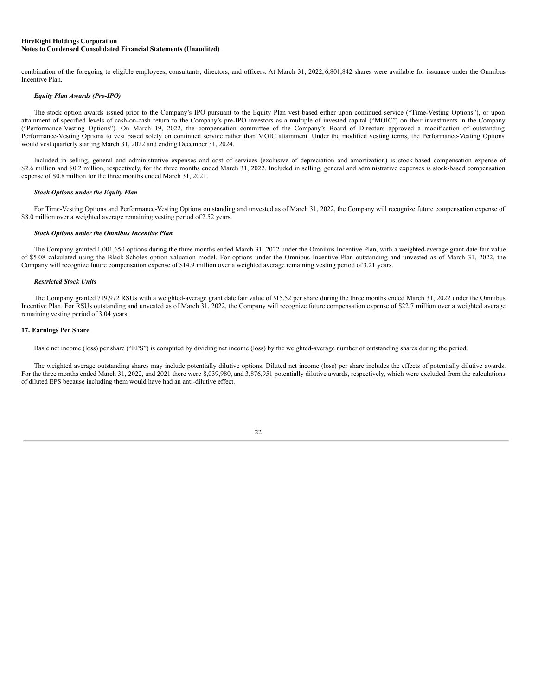## **Notes to Condensed Consolidated Financial Statements (Unaudited)**

combination of the foregoing to eligible employees, consultants, directors, and officers. At March 31, 2022, 6,801,842 shares were available for issuance under the Omnibus Incentive Plan.

## *Equity Plan Awards (Pre-IPO)*

The stock option awards issued prior to the Company's IPO pursuant to the Equity Plan vest based either upon continued service ("Time-Vesting Options"), or upon attainment of specified levels of cash-on-cash return to the Company's pre-IPO investors as a multiple of invested capital ("MOIC") on their investments in the Company ("Performance-Vesting Options"). On March 19, 2022, the compensation committee of the Company's Board of Directors approved a modification of outstanding Performance-Vesting Options to vest based solely on continued service rather than MOIC attainment. Under the modified vesting terms, the Performance-Vesting Options would vest quarterly starting March 31, 2022 and ending December 31, 2024.

Included in selling, general and administrative expenses and cost of services (exclusive of depreciation and amortization) is stock-based compensation expense of \$2.6 million and \$0.2 million, respectively, for the three months ended March 31, 2022. Included in selling, general and administrative expenses is stock-based compensation expense of \$0.8 million for the three months ended March 31, 2021.

## *Stock Options under the Equity Plan*

For Time-Vesting Options and Performance-Vesting Options outstanding and unvested as of March 31, 2022, the Company will recognize future compensation expense of \$8.0 million over a weighted average remaining vesting period of 2.52 years.

#### *Stock Options under the Omnibus Incentive Plan*

The Company granted 1,001,650 options during the three months ended March 31, 2022 under the Omnibus Incentive Plan, with a weighted-average grant date fair value of \$5.08 calculated using the Black-Scholes option valuation model. For options under the Omnibus Incentive Plan outstanding and unvested as of March 31, 2022, the Company will recognize future compensation expense of \$14.9 million over a weighted average remaining vesting period of 3.21 years.

#### *Restricted Stock Units*

The Company granted 719,972 RSUs with a weighted-average grant date fair value of \$15.52 per share during the three months ended March 31, 2022 under the Omnibus Incentive Plan. For RSUs outstanding and unvested as of March 31, 2022, the Company will recognize future compensation expense of \$22.7 million over a weighted average remaining vesting period of 3.04 years.

## **17. Earnings Per Share**

Basic net income (loss) per share ("EPS") is computed by dividing net income (loss) by the weighted-average number of outstanding shares during the period.

The weighted average outstanding shares may include potentially dilutive options. Diluted net income (loss) per share includes the effects of potentially dilutive awards. For the three months ended March 31, 2022, and 2021 there were 8,039,980, and 3,876,951 potentially dilutive awards, respectively, which were excluded from the calculations of diluted EPS because including them would have had an anti-dilutive effect.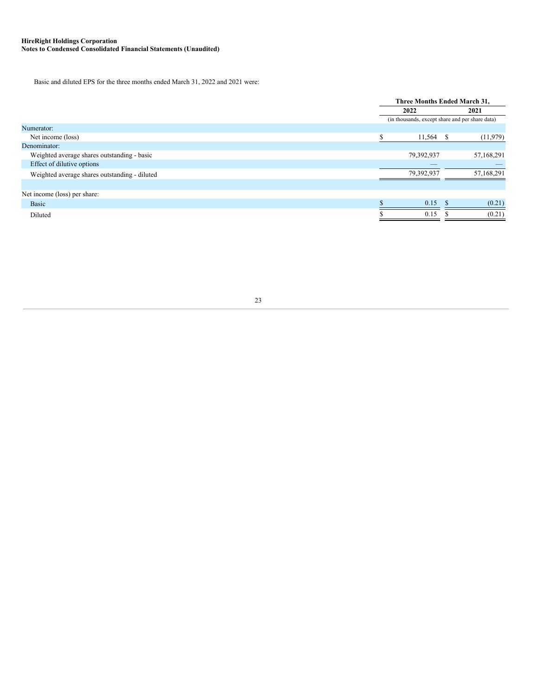**Notes to Condensed Consolidated Financial Statements (Unaudited)**

Basic and diluted EPS for the three months ended March 31, 2022 and 2021 were:

<span id="page-25-0"></span>

|                                               | Three Months Ended March 31,                    |            |    |            |
|-----------------------------------------------|-------------------------------------------------|------------|----|------------|
|                                               | 2022                                            |            |    | 2021       |
|                                               | (in thousands, except share and per share data) |            |    |            |
| Numerator:                                    |                                                 |            |    |            |
| Net income (loss)                             |                                                 | 11,564     | -S | (11, 979)  |
| Denominator:                                  |                                                 |            |    |            |
| Weighted average shares outstanding - basic   |                                                 | 79,392,937 |    | 57,168,291 |
| Effect of dilutive options                    |                                                 |            |    |            |
| Weighted average shares outstanding - diluted |                                                 | 79,392,937 |    | 57,168,291 |
|                                               |                                                 |            |    |            |
| Net income (loss) per share:                  |                                                 |            |    |            |
| <b>Basic</b>                                  |                                                 | 0.15       |    | (0.21)     |
| Diluted                                       |                                                 | 0.15       |    | (0.21)     |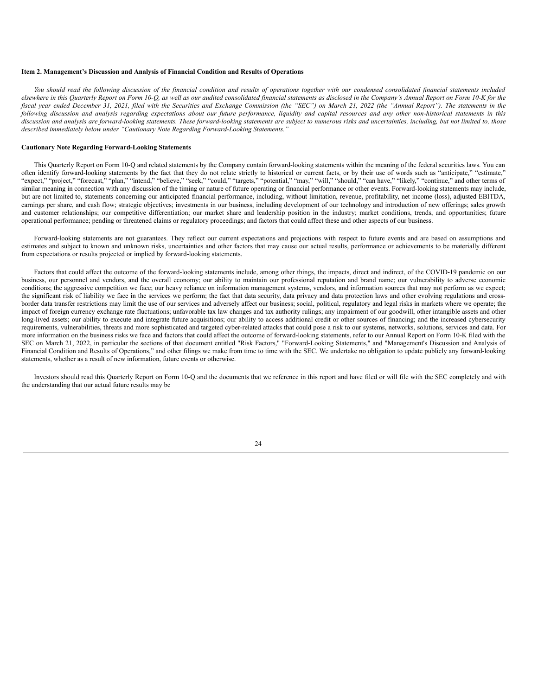## **Item 2. Management's Discussion and Analysis of Financial Condition and Results of Operations**

You should read the following discussion of the financial condition and results of operations together with our condensed consolidated financial statements included elsewhere in this Quarterly Report on Form 10-Q, as well as our audited consolidated financial statements as disclosed in the Company's Annual Report on Form 10-K for the fiscal year ended December 31, 2021, filed with the Securities and Exchange Commission (the "SEC") on March 21, 2022 (the "Annual Report"). The statements in the following discussion and analysis regarding expectations about our future performance, liquidity and capital resources and any other non-historical statements in this discussion and analysis are forward-looking statements. These forward-looking statements are subject to numerous risks and uncertainties, including, but not limited to, those *described immediately below under "Cautionary Note Regarding Forward-Looking Statements."*

#### **Cautionary Note Regarding Forward-Looking Statements**

This Quarterly Report on Form 10-Q and related statements by the Company contain forward-looking statements within the meaning of the federal securities laws. You can often identify forward-looking statements by the fact that they do not relate strictly to historical or current facts, or by their use of words such as "anticipate," "estimate," "expect," "project," "forecast," "plan," "intend," "believe," "seek," "could," "targets," "potential," "may," "will," "should," "can have," "likely," "continue," and other terms of similar meaning in connection with any discussion of the timing or nature of future operating or financial performance or other events. Forward-looking statements may include, but are not limited to, statements concerning our anticipated financial performance, including, without limitation, revenue, profitability, net income (loss), adjusted EBITDA, earnings per share, and cash flow; strategic objectives; investments in our business, including development of our technology and introduction of new offerings; sales growth and customer relationships; our competitive differentiation; our market share and leadership position in the industry; market conditions, trends, and opportunities; future operational performance; pending or threatened claims or regulatory proceedings; and factors that could affect these and other aspects of our business.

Forward-looking statements are not guarantees. They reflect our current expectations and projections with respect to future events and are based on assumptions and estimates and subject to known and unknown risks, uncertainties and other factors that may cause our actual results, performance or achievements to be materially different from expectations or results projected or implied by forward-looking statements.

Factors that could affect the outcome of the forward-looking statements include, among other things, the impacts, direct and indirect, of the COVID-19 pandemic on our business, our personnel and vendors, and the overall economy; our ability to maintain our professional reputation and brand name; our vulnerability to adverse economic conditions; the aggressive competition we face; our heavy reliance on information management systems, vendors, and information sources that may not perform as we expect; the significant risk of liability we face in the services we perform; the fact that data security, data privacy and data protection laws and other evolving regulations and crossborder data transfer restrictions may limit the use of our services and adversely affect our business; social, political, regulatory and legal risks in markets where we operate; the impact of foreign currency exchange rate fluctuations; unfavorable tax law changes and tax authority rulings; any impairment of our goodwill, other intangible assets and other long-lived assets; our ability to execute and integrate future acquisitions; our ability to access additional credit or other sources of financing; and the increased cybersecurity requirements, vulnerabilities, threats and more sophisticated and targeted cyber-related attacks that could pose a risk to our systems, networks, solutions, services and data. For more information on the business risks we face and factors that could affect the outcome of forward-looking statements, refer to our Annual Report on Form 10-K filed with the SEC on March 21, 2022, in particular the sections of that document entitled "Risk Factors," "Forward-Looking Statements," and "Management's Discussion and Analysis of Financial Condition and Results of Operations," and other filings we make from time to time with the SEC. We undertake no obligation to update publicly any forward-looking statements, whether as a result of new information, future events or otherwise.

Investors should read this Quarterly Report on Form 10-Q and the documents that we reference in this report and have filed or will file with the SEC completely and with the understanding that our actual future results may be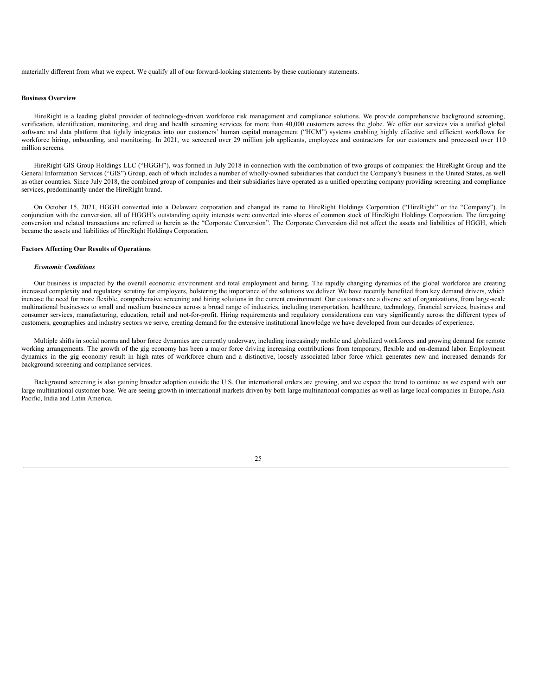materially different from what we expect. We qualify all of our forward-looking statements by these cautionary statements.

## **Business Overview**

HireRight is a leading global provider of technology-driven workforce risk management and compliance solutions. We provide comprehensive background screening, verification, identification, monitoring, and drug and health screening services for more than 40,000 customers across the globe. We offer our services via a unified global software and data platform that tightly integrates into our customers' human capital management ("HCM") systems enabling highly effective and efficient workflows for workforce hiring, onboarding, and monitoring. In 2021, we screened over 29 million job applicants, employees and contractors for our customers and processed over 110 million screens.

HireRight GIS Group Holdings LLC ("HGGH"), was formed in July 2018 in connection with the combination of two groups of companies: the HireRight Group and the General Information Services ("GIS") Group, each of which includes a number of wholly-owned subsidiaries that conduct the Company's business in the United States, as well as other countries. Since July 2018, the combined group of companies and their subsidiaries have operated as a unified operating company providing screening and compliance services, predominantly under the HireRight brand.

On October 15, 2021, HGGH converted into a Delaware corporation and changed its name to HireRight Holdings Corporation ("HireRight" or the "Company"). In conjunction with the conversion, all of HGGH's outstanding equity interests were converted into shares of common stock of HireRight Holdings Corporation. The foregoing conversion and related transactions are referred to herein as the "Corporate Conversion". The Corporate Conversion did not affect the assets and liabilities of HGGH, which became the assets and liabilities of HireRight Holdings Corporation.

## **Factors Affecting Our Results of Operations**

## *Economic Conditions*

Our business is impacted by the overall economic environment and total employment and hiring. The rapidly changing dynamics of the global workforce are creating increased complexity and regulatory scrutiny for employers, bolstering the importance of the solutions we deliver. We have recently benefited from key demand drivers, which increase the need for more flexible, comprehensive screening and hiring solutions in the current environment. Our customers are a diverse set of organizations, from large-scale multinational businesses to small and medium businesses across a broad range of industries, including transportation, healthcare, technology, financial services, business and consumer services, manufacturing, education, retail and not-for-profit. Hiring requirements and regulatory considerations can vary significantly across the different types of customers, geographies and industry sectors we serve, creating demand for the extensive institutional knowledge we have developed from our decades of experience.

Multiple shifts in social norms and labor force dynamics are currently underway, including increasingly mobile and globalized workforces and growing demand for remote working arrangements. The growth of the gig economy has been a major force driving increasing contributions from temporary, flexible and on-demand labor. Employment dynamics in the gig economy result in high rates of workforce churn and a distinctive, loosely associated labor force which generates new and increased demands for background screening and compliance services.

Background screening is also gaining broader adoption outside the U.S. Our international orders are growing, and we expect the trend to continue as we expand with our large multinational customer base. We are seeing growth in international markets driven by both large multinational companies as well as large local companies in Europe, Asia Pacific, India and Latin America.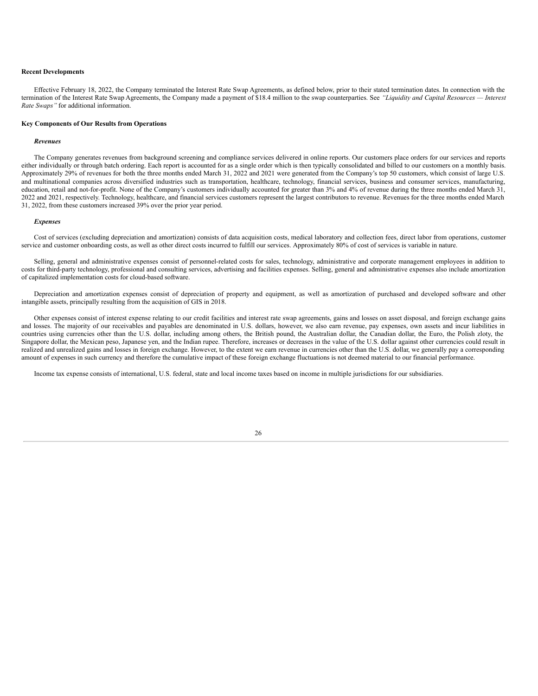## **Recent Developments**

Effective February 18, 2022, the Company terminated the Interest Rate Swap Agreements, as defined below, prior to their stated termination dates. In connection with the termination of the Interest Rate Swap Agreements, the Company made a payment of \$18.4 million to the swap counterparties. See *"Liquidity and Capital Resources — Interest Rate Swaps"* for additional information.

#### **Key Components of Our Results from Operations**

#### *Revenues*

The Company generates revenues from background screening and compliance services delivered in online reports. Our customers place orders for our services and reports either individually or through batch ordering. Each report is accounted for as a single order which is then typically consolidated and billed to our customers on a monthly basis. Approximately 29% of revenues for both the three months ended March 31, 2022 and 2021 were generated from the Company's top 50 customers, which consist of large U.S. and multinational companies across diversified industries such as transportation, healthcare, technology, financial services, business and consumer services, manufacturing, education, retail and not-for-profit. None of the Company's customers individually accounted for greater than 3% and 4% of revenue during the three months ended March 31, 2022 and 2021, respectively. Technology, healthcare, and financial services customers represent the largest contributors to revenue. Revenues for the three months ended March 31, 2022, from these customers increased 39% over the prior year period.

#### *Expenses*

Cost of services (excluding depreciation and amortization) consists of data acquisition costs, medical laboratory and collection fees, direct labor from operations, customer service and customer onboarding costs, as well as other direct costs incurred to fulfill our services. Approximately 80% of cost of services is variable in nature.

Selling, general and administrative expenses consist of personnel-related costs for sales, technology, administrative and corporate management employees in addition to costs for third-party technology, professional and consulting services, advertising and facilities expenses. Selling, general and administrative expenses also include amortization of capitalized implementation costs for cloud-based software.

Depreciation and amortization expenses consist of depreciation of property and equipment, as well as amortization of purchased and developed software and other intangible assets, principally resulting from the acquisition of GIS in 2018.

Other expenses consist of interest expense relating to our credit facilities and interest rate swap agreements, gains and losses on asset disposal, and foreign exchange gains and losses. The majority of our receivables and payables are denominated in U.S. dollars, however, we also earn revenue, pay expenses, own assets and incur liabilities in countries using currencies other than the U.S. dollar, including among others, the British pound, the Australian dollar, the Canadian dollar, the Euro, the Polish zloty, the Singapore dollar, the Mexican peso, Japanese yen, and the Indian rupee. Therefore, increases or decreases in the value of the U.S. dollar against other currencies could result in realized and unrealized gains and losses in foreign exchange. However, to the extent we earn revenue in currencies other than the U.S. dollar, we generally pay a corresponding amount of expenses in such currency and therefore the cumulative impact of these foreign exchange fluctuations is not deemed material to our financial performance.

Income tax expense consists of international, U.S. federal, state and local income taxes based on income in multiple jurisdictions for our subsidiaries.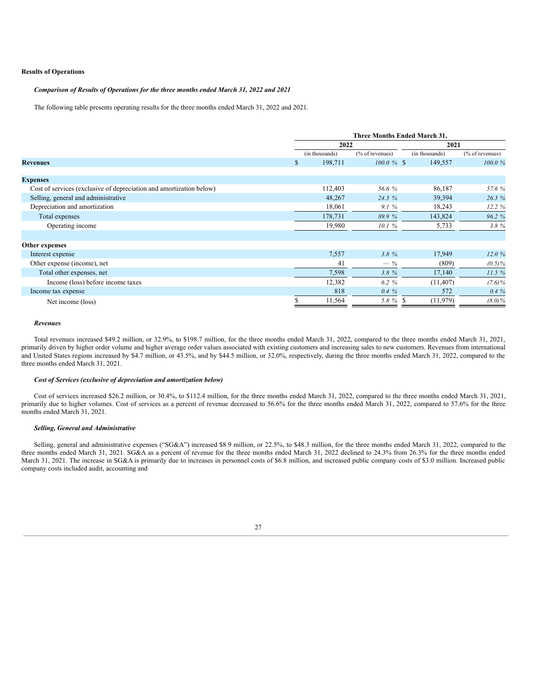## **Results of Operations**

## *Comparison of Results of Operations for the three months ended March 31, 2022 and 2021*

The following table presents operating results for the three months ended March 31, 2022 and 2021.

|                                                                     | Three Months Ended March 31, |                |                    |                |                    |  |
|---------------------------------------------------------------------|------------------------------|----------------|--------------------|----------------|--------------------|--|
|                                                                     |                              | 2022           |                    | 2021           |                    |  |
|                                                                     |                              | (in thousands) | $(\%$ of revenues) | (in thousands) | $(\%$ of revenues) |  |
| <b>Revenues</b>                                                     | \$                           | 198,711        | $100.0 \%$ \$      | 149,557        | 100.0%             |  |
|                                                                     |                              |                |                    |                |                    |  |
| <b>Expenses</b>                                                     |                              |                |                    |                |                    |  |
| Cost of services (exclusive of depreciation and amortization below) |                              | 112,403        | 56.6 %             | 86,187         | 57.6 %             |  |
| Selling, general and administrative                                 |                              | 48,267         | 24.3%              | 39,394         | 26.3%              |  |
| Depreciation and amortization                                       |                              | 18,061         | 9.1%               | 18,243         | 12.2%              |  |
| Total expenses                                                      |                              | 178,731        | 89.9%              | 143,824        | 96.2%              |  |
| Operating income                                                    |                              | 19,980         | 10.1%              | 5,733          | $3.8\%$            |  |
|                                                                     |                              |                |                    |                |                    |  |
| Other expenses                                                      |                              |                |                    |                |                    |  |
| Interest expense                                                    |                              | 7,557          | $3.8 \%$           | 17,949         | 12.0%              |  |
| Other expense (income), net                                         |                              | 41             | $-$ %              | (809)          | $(0.5)\%$          |  |
| Total other expenses, net                                           |                              | 7,598          | $3.8 \%$           | 17,140         | 11.5%              |  |
| Income (loss) before income taxes                                   |                              | 12,382         | 6.2 $%$            | (11, 407)      | $(7.6)\%$          |  |
| Income tax expense                                                  |                              | 818            | $0.4 \%$           | 572            | $0.4\%$            |  |
| Net income (loss)                                                   | S                            | 11,564         | 5.8 $%$ \$         | (11, 979)      | $(8.0)\%$          |  |

## *Revenues*

Total revenues increased \$49.2 million, or 32.9%, to \$198.7 million, for the three months ended March 31, 2022, compared to the three months ended March 31, 2021, primarily driven by higher order volume and higher average order values associated with existing customers and increasing sales to new customers. Revenues from international and United States regions increased by \$4.7 million, or 43.5%, and by \$44.5 million, or 32.0%, respectively, during the three months ended March 31, 2022, compared to the three months ended March 31, 2021.

#### *Cost of Services (exclusive of depreciation and amortization below)*

Cost of services increased \$26.2 million, or 30.4%, to \$112.4 million, for the three months ended March 31, 2022, compared to the three months ended March 31, 2021, primarily due to higher volumes. Cost of services as a percent of revenue decreased to 56.6% for the three months ended March 31, 2022, compared to 57.6% for the three months ended March 31, 2021.

#### *Selling, General and Administrative*

Selling, general and administrative expenses ("SG&A") increased \$8.9 million, or 22.5%, to \$48.3 million, for the three months ended March 31, 2022, compared to the three months ended March 31, 2021. SG&A as a percent of revenue for the three months ended March 31, 2022 declined to 24.3% from 26.3% for the three months ended March 31, 2021. The increase in SG&A is primarily due to increases in personnel costs of \$6.8 million, and increased public company costs of \$3.0 million. Increased public company costs included audit, accounting and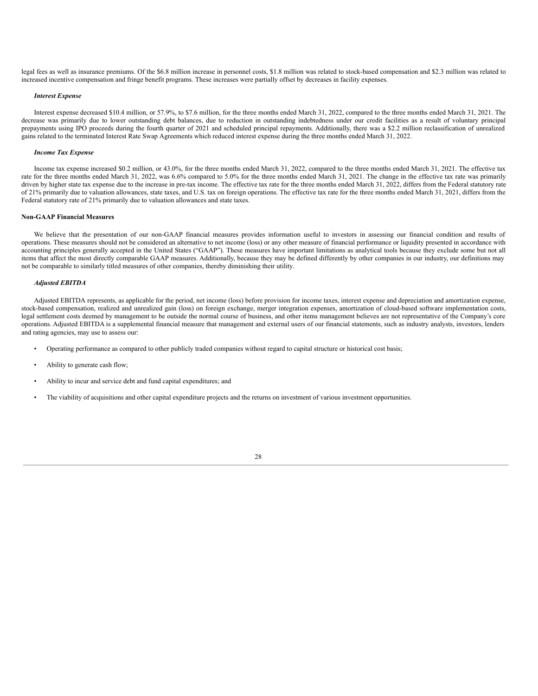legal fees as well as insurance premiums. Of the \$6.8 million increase in personnel costs, \$1.8 million was related to stock-based compensation and \$2.3 million was related to increased incentive compensation and fringe benefit programs. These increases were partially offset by decreases in facility expenses.

## *Interest Expense*

Interest expense decreased \$10.4 million, or 57.9%, to \$7.6 million, for the three months ended March 31, 2022, compared to the three months ended March 31, 2021. The decrease was primarily due to lower outstanding debt balances, due to reduction in outstanding indebtedness under our credit facilities as a result of voluntary principal prepayments using IPO proceeds during the fourth quarter of 2021 and scheduled principal repayments. Additionally, there was a \$2.2 million reclassification of unrealized gains related to the terminated Interest Rate Swap Agreements which reduced interest expense during the three months ended March 31, 2022.

#### *Income Tax Expense*

Income tax expense increased \$0.2 million, or 43.0%, for the three months ended March 31, 2022, compared to the three months ended March 31, 2021. The effective tax rate for the three months ended March 31, 2022, was 6.6% compared to 5.0% for the three months ended March 31, 2021. The change in the effective tax rate was primarily driven by higher state tax expense due to the increase in pre-tax income. The effective tax rate for the three months ended March 31, 2022, differs from the Federal statutory rate of 21% primarily due to valuation allowances, state taxes, and U.S. tax on foreign operations. The effective tax rate for the three months ended March 31, 2021, differs from the Federal statutory rate of 21% primarily due to valuation allowances and state taxes.

#### **Non-GAAP Financial Measures**

We believe that the presentation of our non-GAAP financial measures provides information useful to investors in assessing our financial condition and results of operations. These measures should not be considered an alternative to net income (loss) or any other measure of financial performance or liquidity presented in accordance with accounting principles generally accepted in the United States ("GAAP"). These measures have important limitations as analytical tools because they exclude some but not all items that affect the most directly comparable GAAP measures. Additionally, because they may be defined differently by other companies in our industry, our definitions may not be comparable to similarly titled measures of other companies, thereby diminishing their utility.

#### *Adjusted EBITDA*

Adjusted EBITDA represents, as applicable for the period, net income (loss) before provision for income taxes, interest expense and depreciation and amortization expense, stock-based compensation, realized and unrealized gain (loss) on foreign exchange, merger integration expenses, amortization of cloud-based software implementation costs, legal settlement costs deemed by management to be outside the normal course of business, and other items management believes are not representative of the Company's core operations. Adjusted EBITDA is a supplemental financial measure that management and external users of our financial statements, such as industry analysts, investors, lenders and rating agencies, may use to assess our:

- Operating performance as compared to other publicly traded companies without regard to capital structure or historical cost basis;
- Ability to generate cash flow;
- Ability to incur and service debt and fund capital expenditures; and
- The viability of acquisitions and other capital expenditure projects and the returns on investment of various investment opportunities.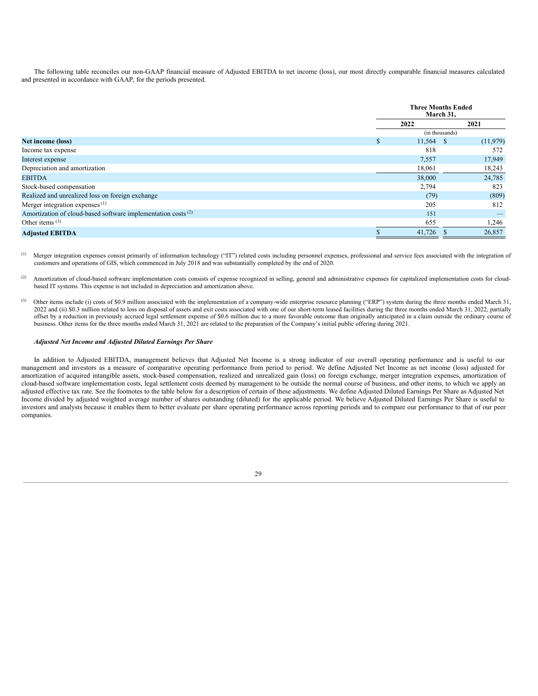The following table reconciles our non-GAAP financial measure of Adjusted EBITDA to net income (loss), our most directly comparable financial measures calculated and presented in accordance with GAAP, for the periods presented.

|                                                                          | <b>Three Months Ended</b><br>March 31, |             |                |           |
|--------------------------------------------------------------------------|----------------------------------------|-------------|----------------|-----------|
|                                                                          |                                        | 2022        |                | 2021      |
|                                                                          |                                        |             | (in thousands) |           |
| Net income (loss)                                                        | S.                                     | $11,564$ \$ |                | (11, 979) |
| Income tax expense                                                       |                                        | 818         |                | 572       |
| Interest expense                                                         |                                        | 7,557       |                | 17,949    |
| Depreciation and amortization                                            |                                        | 18,061      |                | 18,243    |
| <b>EBITDA</b>                                                            |                                        | 38,000      |                | 24,785    |
| Stock-based compensation                                                 |                                        | 2,794       |                | 823       |
| Realized and unrealized loss on foreign exchange                         |                                        | (79)        |                | (809)     |
| Merger integration expenses $(1)$                                        |                                        | 205         |                | 812       |
| Amortization of cloud-based software implementation costs <sup>(2)</sup> |                                        | 151         |                |           |
| Other items $(3)$                                                        |                                        | 655         |                | 1,246     |
| <b>Adjusted EBITDA</b>                                                   |                                        | 41,726      |                | 26,857    |

- Merger integration expenses consist primarily of information technology ("IT") related costs including personnel expenses, professional and service fees associated with the integration of customers and operations of GIS, which commenced in July 2018 and was substantially completed by the end of 2020. (1)
- Amortization of cloud-based software implementation costs consists of expense recognized in selling, general and administrative expenses for capitalized implementation costs for cloudbased IT systems. This expense is not included in depreciation and amortization above. (2)
- Other items include (i) costs of \$0.9 million associated with the implementation of a company-wide enterprise resource planning ("ERP") system during the three months ended March 31, 2022 and (ii) \$0.3 million related to loss on disposal of assets and exit costs associated with one of our short-term leased facilities during the three months ended March 31, 2022, partially offset by a reduction in previously accrued legal settlement expense of \$0.6 million due to a more favorable outcome than originally anticipated in a claim outside the ordinary course of business. Other items for the three months ended March 31, 2021 are related to the preparation of the Company's initial public offering during 2021. (3)

## *Adjusted Net Income and Adjusted Diluted Earnings Per Share*

In addition to Adjusted EBITDA, management believes that Adjusted Net Income is a strong indicator of our overall operating performance and is useful to our management and investors as a measure of comparative operating performance from period to period. We define Adjusted Net Income as net income (loss) adjusted for amortization of acquired intangible assets, stock-based compensation, realized and unrealized gain (loss) on foreign exchange, merger integration expenses, amortization of cloud-based software implementation costs, legal settlement costs deemed by management to be outside the normal course of business, and other items, to which we apply an adjusted effective tax rate. See the footnotes to the table below for a description of certain of these adjustments. We define Adjusted Diluted Earnings Per Share as Adjusted Net Income divided by adjusted weighted average number of shares outstanding (diluted) for the applicable period. We believe Adjusted Diluted Earnings Per Share is useful to investors and analysts because it enables them to better evaluate per share operating performance across reporting periods and to compare our performance to that of our peer companies.

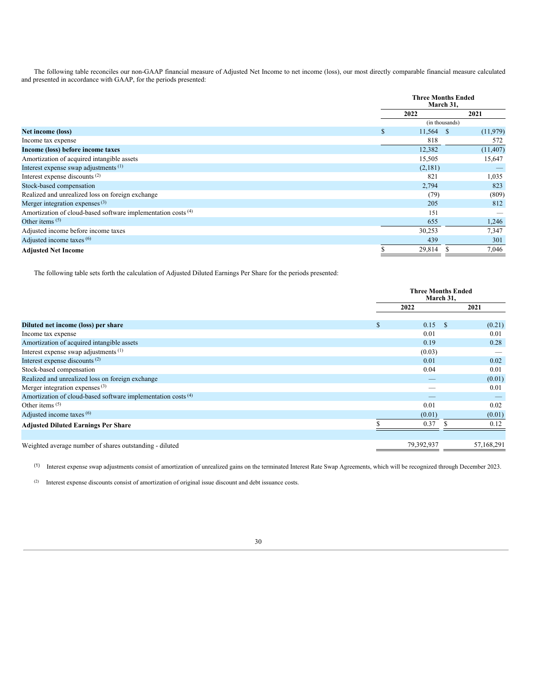The following table reconciles our non-GAAP financial measure of Adjusted Net Income to net income (loss), our most directly comparable financial measure calculated and presented in accordance with GAAP, for the periods presented:

|                                                                          |                              | <b>Three Months Ended</b><br>March 31, |  |  |
|--------------------------------------------------------------------------|------------------------------|----------------------------------------|--|--|
|                                                                          | 2022                         | 2021                                   |  |  |
|                                                                          |                              | (in thousands)                         |  |  |
| Net income (loss)                                                        | <sup>\$</sup><br>$11,564$ \$ | (11, 979)                              |  |  |
| Income tax expense                                                       | 818                          | 572                                    |  |  |
| Income (loss) before income taxes                                        | 12,382                       | (11, 407)                              |  |  |
| Amortization of acquired intangible assets                               | 15,505                       | 15,647                                 |  |  |
| Interest expense swap adjustments (1)                                    | (2,181)                      |                                        |  |  |
| Interest expense discounts <sup>(2)</sup>                                | 821                          | 1,035                                  |  |  |
| Stock-based compensation                                                 | 2,794                        | 823                                    |  |  |
| Realized and unrealized loss on foreign exchange                         | (79)                         | (809)                                  |  |  |
| Merger integration expenses $(3)$                                        | 205                          | 812                                    |  |  |
| Amortization of cloud-based software implementation costs <sup>(4)</sup> | 151                          |                                        |  |  |
| Other items $(5)$                                                        | 655                          | 1,246                                  |  |  |
| Adjusted income before income taxes                                      | 30,253                       | 7,347                                  |  |  |
| Adjusted income taxes (6)                                                | 439                          | 301                                    |  |  |
| <b>Adjusted Net Income</b>                                               | 29,814                       | 7,046                                  |  |  |

The following table sets forth the calculation of Adjusted Diluted Earnings Per Share for the periods presented:

|                                                                          |            | <b>Three Months Ended</b><br>March 31, |            |  |
|--------------------------------------------------------------------------|------------|----------------------------------------|------------|--|
|                                                                          | 2022       |                                        | 2021       |  |
|                                                                          |            |                                        |            |  |
| Diluted net income (loss) per share                                      | 0.15<br>S  | - S                                    | (0.21)     |  |
| Income tax expense                                                       | 0.01       |                                        | 0.01       |  |
| Amortization of acquired intangible assets                               | 0.19       |                                        | 0.28       |  |
| Interest expense swap adjustments <sup>(1)</sup>                         | (0.03)     |                                        |            |  |
| Interest expense discounts <sup>(2)</sup>                                | 0.01       |                                        | 0.02       |  |
| Stock-based compensation                                                 | 0.04       |                                        | 0.01       |  |
| Realized and unrealized loss on foreign exchange                         |            | _                                      | (0.01)     |  |
| Merger integration expenses $(3)$                                        |            |                                        | 0.01       |  |
| Amortization of cloud-based software implementation costs <sup>(4)</sup> |            |                                        |            |  |
| Other items $(5)$                                                        | 0.01       |                                        | 0.02       |  |
| Adjusted income taxes (6)                                                | (0.01)     |                                        | (0.01)     |  |
| <b>Adjusted Diluted Earnings Per Share</b>                               | 0.37       |                                        | 0.12       |  |
|                                                                          |            |                                        |            |  |
| Weighted average number of shares outstanding - diluted                  | 79,392,937 |                                        | 57,168,291 |  |

Interest expense swap adjustments consist of amortization of unrealized gains on the terminated Interest Rate Swap Agreements, which will be recognized through December 2023. (1)

Interest expense discounts consist of amortization of original issue discount and debt issuance costs. (2)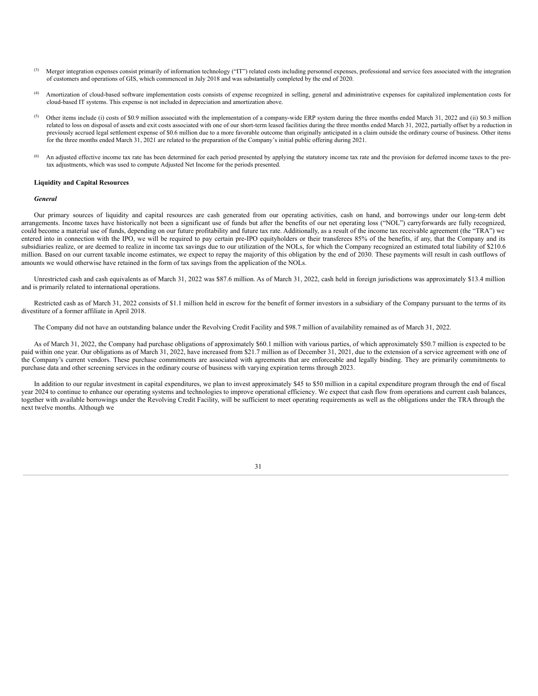- Merger integration expenses consist primarily of information technology ("IT") related costs including personnel expenses, professional and service fees associated with the integration of customers and operations of GIS, which commenced in July 2018 and was substantially completed by the end of 2020. (3)
- Amortization of cloud-based software implementation costs consists of expense recognized in selling, general and administrative expenses for capitalized implementation costs for cloud-based IT systems. This expense is not included in depreciation and amortization above. (4)
- Other items include (i) costs of \$0.9 million associated with the implementation of a company-wide ERP system during the three months ended March 31, 2022 and (ii) \$0.3 million related to loss on disposal of assets and exit costs associated with one of our short-term leased facilities during the three months ended March 31, 2022, partially offset by a reduction in previously accrued legal settlement expense of \$0.6 million due to a more favorable outcome than originally anticipated in a claim outside the ordinary course of business. Other items for the three months ended March 31, 2021 are related to the preparation of the Company's initial public offering during 2021. (5)
- An adjusted effective income tax rate has been determined for each period presented by applying the statutory income tax rate and the provision for deferred income taxes to the pretax adjustments, which was used to compute Adjusted Net Income for the periods presented. (6)

## **Liquidity and Capital Resources**

## *General*

Our primary sources of liquidity and capital resources are cash generated from our operating activities, cash on hand, and borrowings under our long-term debt arrangements. Income taxes have historically not been a significant use of funds but after the benefits of our net operating loss ("NOL") carryforwards are fully recognized, could become a material use of funds, depending on our future profitability and future tax rate. Additionally, as a result of the income tax receivable agreement (the "TRA") we entered into in connection with the IPO, we will be required to pay certain pre-IPO equityholders or their transferees 85% of the benefits, if any, that the Company and its subsidiaries realize, or are deemed to realize in income tax savings due to our utilization of the NOLs, for which the Company recognized an estimated total liability of \$210.6 million. Based on our current taxable income estimates, we expect to repay the majority of this obligation by the end of 2030. These payments will result in cash outflows of amounts we would otherwise have retained in the form of tax savings from the application of the NOLs.

Unrestricted cash and cash equivalents as of March 31, 2022 was \$87.6 million. As of March 31, 2022, cash held in foreign jurisdictions was approximately \$13.4 million and is primarily related to international operations.

Restricted cash as of March 31, 2022 consists of \$1.1 million held in escrow for the benefit of former investors in a subsidiary of the Company pursuant to the terms of its divestiture of a former affiliate in April 2018.

The Company did not have an outstanding balance under the Revolving Credit Facility and \$98.7 million of availability remained as of March 31, 2022.

As of March 31, 2022, the Company had purchase obligations of approximately \$60.1 million with various parties, of which approximately \$50.7 million is expected to be paid within one year. Our obligations as of March 31, 2022, have increased from \$21.7 million as of December 31, 2021, due to the extension of a service agreement with one of the Company's current vendors. These purchase commitments are associated with agreements that are enforceable and legally binding. They are primarily commitments to purchase data and other screening services in the ordinary course of business with varying expiration terms through 2023.

In addition to our regular investment in capital expenditures, we plan to invest approximately \$45 to \$50 million in a capital expenditure program through the end of fiscal year 2024 to continue to enhance our operating systems and technologies to improve operational efficiency. We expect that cash flow from operations and current cash balances, together with available borrowings under the Revolving Credit Facility, will be sufficient to meet operating requirements as well as the obligations under the TRA through the next twelve months. Although we

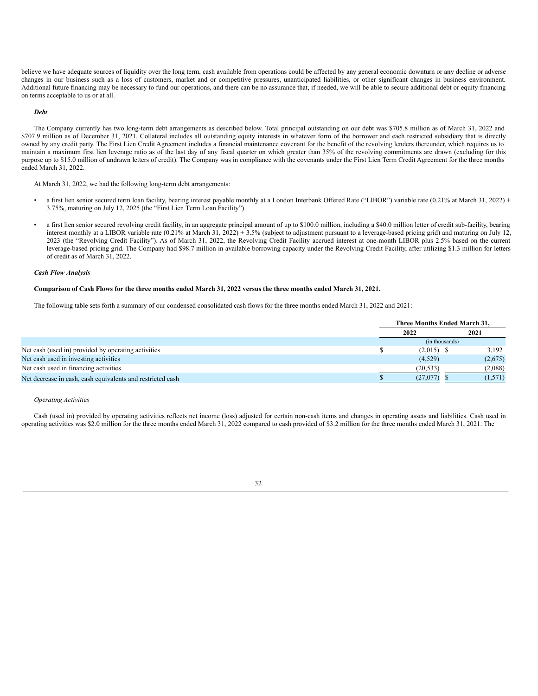believe we have adequate sources of liquidity over the long term, cash available from operations could be affected by any general economic downturn or any decline or adverse changes in our business such as a loss of customers, market and or competitive pressures, unanticipated liabilities, or other significant changes in business environment. Additional future financing may be necessary to fund our operations, and there can be no assurance that, if needed, we will be able to secure additional debt or equity financing on terms acceptable to us or at all.

#### *Debt*

The Company currently has two long-term debt arrangements as described below. Total principal outstanding on our debt was \$705.8 million as of March 31, 2022 and \$707.9 million as of December 31, 2021. Collateral includes all outstanding equity interests in whatever form of the borrower and each restricted subsidiary that is directly owned by any credit party. The First Lien Credit Agreement includes a financial maintenance covenant for the benefit of the revolving lenders thereunder, which requires us to maintain a maximum first lien leverage ratio as of the last day of any fiscal quarter on which greater than 35% of the revolving commitments are drawn (excluding for this purpose up to \$15.0 million of undrawn letters of credit). The Company was in compliance with the covenants under the First Lien Term Credit Agreement for the three months ended March 31, 2022.

At March 31, 2022, we had the following long-term debt arrangements:

- a first lien senior secured term loan facility, bearing interest payable monthly at a London Interbank Offered Rate ("LIBOR") variable rate (0.21% at March 31, 2022) + 3.75%, maturing on July 12, 2025 (the "First Lien Term Loan Facility").
- a first lien senior secured revolving credit facility, in an aggregate principal amount of up to \$100.0 million, including a \$40.0 million letter of credit sub-facility, bearing interest monthly at a LIBOR variable rate (0.21% at March 31, 2022) + 3.5% (subject to adjustment pursuant to a leverage-based pricing grid) and maturing on July 12, 2023 (the "Revolving Credit Facility"). As of March 31, 2022, the Revolving Credit Facility accrued interest at one-month LIBOR plus 2.5% based on the current leverage-based pricing grid. The Company had \$98.7 million in available borrowing capacity under the Revolving Credit Facility, after utilizing \$1.3 million for letters of credit as of March 31, 2022.

## *Cash Flow Analysis*

#### Comparison of Cash Flows for the three months ended March 31, 2022 versus the three months ended March 31, 2021.

The following table sets forth a summary of our condensed consolidated cash flows for the three months ended March 31, 2022 and 2021:

|                                                            | Three Months Ended March 31. |               |         |  |
|------------------------------------------------------------|------------------------------|---------------|---------|--|
|                                                            |                              | 2021          |         |  |
|                                                            | (in thousands)               |               |         |  |
| Net cash (used in) provided by operating activities        |                              | $(2,015)$ \$  | 3.192   |  |
| Net cash used in investing activities                      |                              | (4,529)       | (2,675) |  |
| Net cash used in financing activities                      |                              | (20.533)      | (2,088) |  |
| Net decrease in cash, cash equivalents and restricted cash |                              | $(27.077)$ \$ | (1,571) |  |

#### *Operating Activities*

Cash (used in) provided by operating activities reflects net income (loss) adjusted for certain non-cash items and changes in operating assets and liabilities. Cash used in operating activities was \$2.0 million for the three months ended March 31, 2022 compared to cash provided of \$3.2 million for the three months ended March 31, 2021. The

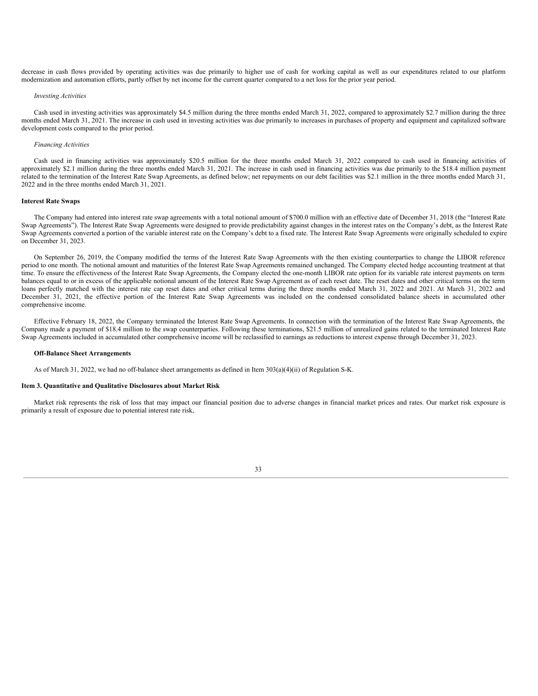decrease in cash flows provided by operating activities was due primarily to higher use of cash for working capital as well as our expenditures related to our platform modernization and automation efforts, partly offset by net income for the current quarter compared to a net loss for the prior year period.

#### *Investing Activities*

Cash used in investing activities was approximately \$4.5 million during the three months ended March 31, 2022, compared to approximately \$2.7 million during the three months ended March 31, 2021. The increase in cash used in investing activities was due primarily to increases in purchases of property and equipment and capitalized software development costs compared to the prior period.

## *Financing Activities*

Cash used in financing activities was approximately \$20.5 million for the three months ended March 31, 2022 compared to cash used in financing activities of approximately \$2.1 million during the three months ended March 31, 2021. The increase in cash used in financing activities was due primarily to the \$18.4 million payment related to the termination of the Interest Rate Swap Agreements, as defined below; net repayments on our debt facilities was \$2.1 million in the three months ended March 31, 2022 and in the three months ended March 31, 2021.

#### **Interest Rate Swaps**

The Company had entered into interest rate swap agreements with a total notional amount of \$700.0 million with an effective date of December 31, 2018 (the "Interest Rate Swap Agreements"). The Interest Rate Swap Agreements were designed to provide predictability against changes in the interest rates on the Company's debt, as the Interest Rate Swap Agreements converted a portion of the variable interest rate on the Company's debt to a fixed rate. The Interest Rate Swap Agreements were originally scheduled to expire on December 31, 2023.

On September 26, 2019, the Company modified the terms of the Interest Rate Swap Agreements with the then existing counterparties to change the LIBOR reference period to one month. The notional amount and maturities of the Interest Rate Swap Agreements remained unchanged. The Company elected hedge accounting treatment at that time. To ensure the effectiveness of the Interest Rate Swap Agreements, the Company elected the one-month LIBOR rate option for its variable rate interest payments on term balances equal to or in excess of the applicable notional amount of the Interest Rate Swap Agreement as of each reset date. The reset dates and other critical terms on the term loans perfectly matched with the interest rate cap reset dates and other critical terms during the three months ended March 31, 2022 and 2021. At March 31, 2022 and December 31, 2021, the effective portion of the Interest Rate Swap Agreements was included on the condensed consolidated balance sheets in accumulated other comprehensive income.

Effective February 18, 2022, the Company terminated the Interest Rate Swap Agreements. In connection with the termination of the Interest Rate Swap Agreements, the Company made a payment of \$18.4 million to the swap counterparties. Following these terminations, \$21.5 million of unrealized gains related to the terminated Interest Rate Swap Agreements included in accumulated other comprehensive income will be reclassified to earnings as reductions to interest expense through December 31, 2023.

#### **Off-Balance Sheet Arrangements**

As of March 31, 2022, we had no off-balance sheet arrangements as defined in Item 303(a)(4)(ii) of Regulation S-K.

#### <span id="page-35-0"></span>**Item 3. Quantitative and Qualitative Disclosures about Market Risk**

Market risk represents the risk of loss that may impact our financial position due to adverse changes in financial market prices and rates. Our market risk exposure is primarily a result of exposure due to potential interest rate risk,

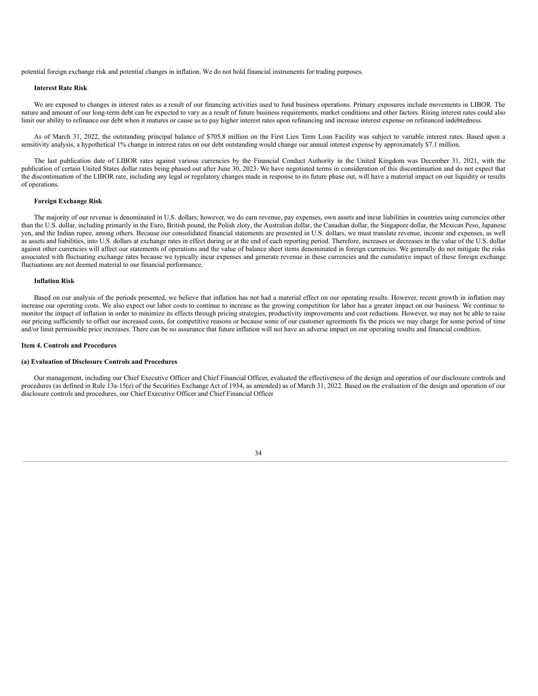potential foreign exchange risk and potential changes in inflation. We do not hold financial instruments for trading purposes.

#### **Interest Rate Risk**

We are exposed to changes in interest rates as a result of our financing activities used to fund business operations. Primary exposures include movements in LIBOR. The nature and amount of our long-term debt can be expected to vary as a result of future business requirements, market conditions and other factors. Rising interest rates could also limit our ability to refinance our debt when it matures or cause us to pay higher interest rates upon refinancing and increase interest expense on refinanced indebtedness.

As of March 31, 2022, the outstanding principal balance of \$705.8 million on the First Lien Term Loan Facility was subject to variable interest rates. Based upon a sensitivity analysis, a hypothetical 1% change in interest rates on our debt outstanding would change our annual interest expense by approximately \$7.1 million.

The last publication date of LIBOR rates against various currencies by the Financial Conduct Authority in the United Kingdom was December 31, 2021, with the publication of certain United States dollar rates being phased out after June 30, 2023. We have negotiated terms in consideration of this discontinuation and do not expect that the discontinuation of the LIBOR rate, including any legal or regulatory changes made in response to its future phase out, will have a material impact on our liquidity or results of operations.

#### **Foreign Exchange Risk**

The majority of our revenue is denominated in U.S. dollars; however, we do earn revenue, pay expenses, own assets and incur liabilities in countries using currencies other than the U.S. dollar, including primarily in the Euro, British pound, the Polish zloty, the Australian dollar, the Canadian dollar, the Singapore dollar, the Mexican Peso, Japanese yen, and the Indian rupee, among others. Because our consolidated financial statements are presented in U.S. dollars, we must translate revenue, income and expenses, as well as assets and liabilities, into U.S. dollars at exchange rates in effect during or at the end of each reporting period. Therefore, increases or decreases in the value of the U.S. dollar against other currencies will affect our statements of operations and the value of balance sheet items denominated in foreign currencies. We generally do not mitigate the risks associated with fluctuating exchange rates because we typically incur expenses and generate revenue in these currencies and the cumulative impact of these foreign exchange fluctuations are not deemed material to our financial performance.

#### **Inflation Risk**

Based on our analysis of the periods presented, we believe that inflation has not had a material effect on our operating results. However, recent growth in inflation may increase our operating costs. We also expect our labor costs to continue to increase as the growing competition for labor has a greater impact on our business. We continue to monitor the impact of inflation in order to minimize its effects through pricing strategies, productivity improvements and cost reductions. However, we may not be able to raise our pricing sufficiently to offset our increased costs, for competitive reasons or because some of our customer agreements fix the prices we may charge for some period of time and/or limit permissible price increases. There can be no assurance that future inflation will not have an adverse impact on our operating results and financial condition.

#### <span id="page-36-0"></span>**Item 4. Controls and Procedures**

## **(a) Evaluation of Disclosure Controls and Procedures**

Our management, including our Chief Executive Officer and Chief Financial Officer, evaluated the effectiveness of the design and operation of our disclosure controls and procedures (as defined in Rule 13a-15(e) of the Securities Exchange Act of 1934, as amended) as of March 31, 2022. Based on the evaluation of the design and operation of our disclosure controls and procedures, our Chief Executive Officer and Chief Financial Officer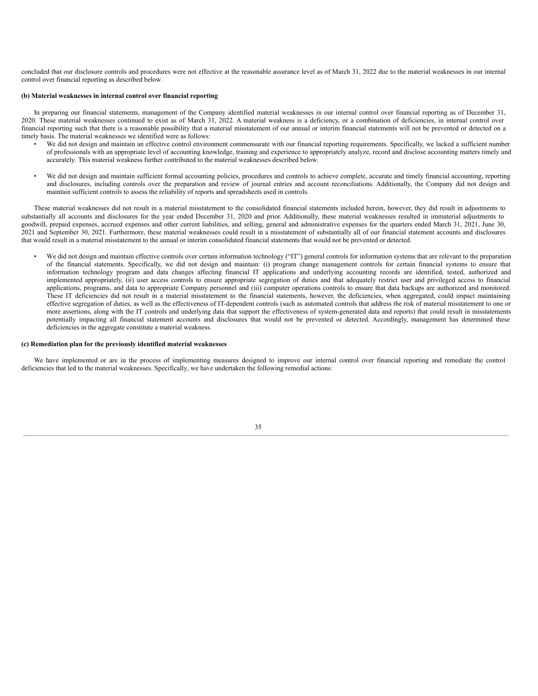concluded that our disclosure controls and procedures were not effective at the reasonable assurance level as of March 31, 2022 due to the material weaknesses in our internal control over financial reporting as described below.

#### **(b) Material weaknesses in internal control over financial reporting**

In preparing our financial statements, management of the Company identified material weaknesses in our internal control over financial reporting as of December 31, 2020. These material weaknesses continued to exist as of March 31, 2022. A material weakness is a deficiency, or a combination of deficiencies, in internal control over financial reporting such that there is a reasonable possibility that a material misstatement of our annual or interim financial statements will not be prevented or detected on a timely basis. The material weaknesses we identified were as follows:

- We did not design and maintain an effective control environment commensurate with our financial reporting requirements. Specifically, we lacked a sufficient number of professionals with an appropriate level of accounting knowledge, training and experience to appropriately analyze, record and disclose accounting matters timely and accurately. This material weakness further contributed to the material weaknesses described below.
- We did not design and maintain sufficient formal accounting policies, procedures and controls to achieve complete, accurate and timely financial accounting, reporting and disclosures, including controls over the preparation and review of journal entries and account reconciliations. Additionally, the Company did not design and maintain sufficient controls to assess the reliability of reports and spreadsheets used in controls.

These material weaknesses did not result in a material misstatement to the consolidated financial statements included herein, however, they did result in adjustments to substantially all accounts and disclosures for the year ended December 31, 2020 and prior. Additionally, these material weaknesses resulted in immaterial adjustments to goodwill, prepaid expenses, accrued expenses and other current liabilities, and selling, general and administrative expenses for the quarters ended March 31, 2021, June 30, 2021 and September 30, 2021. Furthermore, these material weaknesses could result in a misstatement of substantially all of our financial statement accounts and disclosures that would result in a material misstatement to the annual or interim consolidated financial statements that would not be prevented or detected.

We did not design and maintain effective controls over certain information technology ("IT") general controls for information systems that are relevant to the preparation of the financial statements. Specifically, we did not design and maintain: (i) program change management controls for certain financial systems to ensure that information technology program and data changes affecting financial IT applications and underlying accounting records are identified, tested, authorized and implemented appropriately, (ii) user access controls to ensure appropriate segregation of duties and that adequately restrict user and privileged access to financial applications, programs, and data to appropriate Company personnel and (iii) computer operations controls to ensure that data backups are authorized and monitored. These IT deficiencies did not result in a material misstatement to the financial statements, however, the deficiencies, when aggregated, could impact maintaining effective segregation of duties, as well as the effectiveness of IT-dependent controls (such as automated controls that address the risk of material misstatement to one or more assertions, along with the IT controls and underlying data that support the effectiveness of system-generated data and reports) that could result in misstatements potentially impacting all financial statement accounts and disclosures that would not be prevented or detected. Accordingly, management has determined these deficiencies in the aggregate constitute a material weakness.

#### **(c) Remediation plan for the previously identified material weaknesses**

We have implemented or are in the process of implementing measures designed to improve our internal control over financial reporting and remediate the control deficiencies that led to the material weaknesses. Specifically, we have undertaken the following remedial actions: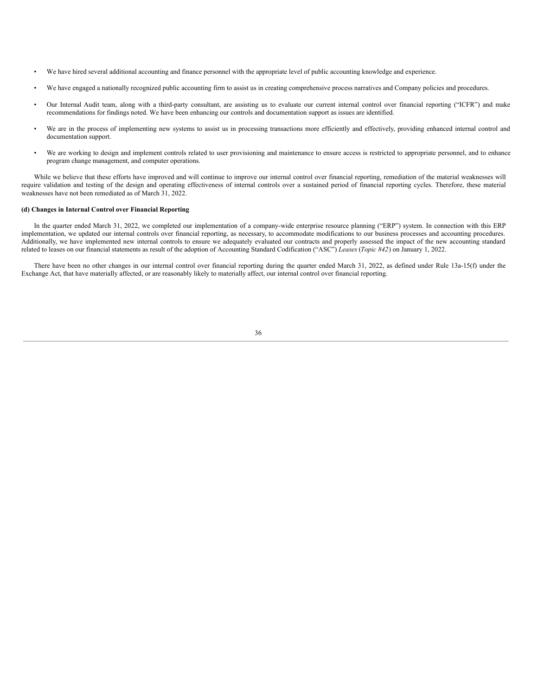- We have hired several additional accounting and finance personnel with the appropriate level of public accounting knowledge and experience.
- We have engaged a nationally recognized public accounting firm to assist us in creating comprehensive process narratives and Company policies and procedures.
- Our Internal Audit team, along with a third-party consultant, are assisting us to evaluate our current internal control over financial reporting ("ICFR") and make recommendations for findings noted. We have been enhancing our controls and documentation support as issues are identified.
- We are in the process of implementing new systems to assist us in processing transactions more efficiently and effectively, providing enhanced internal control and documentation support.
- We are working to design and implement controls related to user provisioning and maintenance to ensure access is restricted to appropriate personnel, and to enhance program change management, and computer operations.

While we believe that these efforts have improved and will continue to improve our internal control over financial reporting, remediation of the material weaknesses will require validation and testing of the design and operating effectiveness of internal controls over a sustained period of financial reporting cycles. Therefore, these material weaknesses have not been remediated as of March 31, 2022.

## **(d) Changes in Internal Control over Financial Reporting**

In the quarter ended March 31, 2022, we completed our implementation of a company-wide enterprise resource planning ("ERP") system. In connection with this ERP implementation, we updated our internal controls over financial reporting, as necessary, to accommodate modifications to our business processes and accounting procedures. Additionally, we have implemented new internal controls to ensure we adequately evaluated our contracts and properly assessed the impact of the new accounting standard related to leases on our financial statements as result of the adoption of Accounting Standard Codification ("ASC") *Leases* (*Topic 842*) on January 1, 2022.

<span id="page-38-0"></span>There have been no other changes in our internal control over financial reporting during the quarter ended March 31, 2022, as defined under Rule 13a-15(f) under the Exchange Act, that have materially affected, or are reasonably likely to materially affect, our internal control over financial reporting.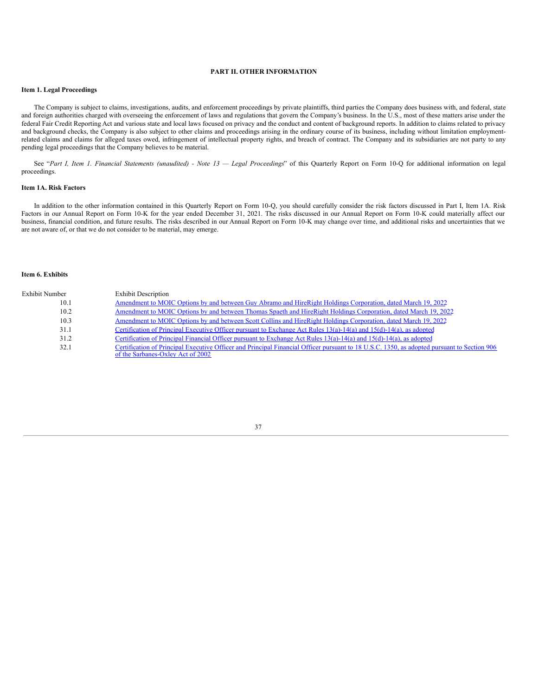## **PART II. OTHER INFORMATION**

#### <span id="page-39-0"></span>**Item 1. Legal Proceedings**

The Company is subject to claims, investigations, audits, and enforcement proceedings by private plaintiffs, third parties the Company does business with, and federal, state and foreign authorities charged with overseeing the enforcement of laws and regulations that govern the Company's business. In the U.S., most of these matters arise under the federal Fair Credit Reporting Act and various state and local laws focused on privacy and the conduct and content of background reports. In addition to claims related to privacy and background checks, the Company is also subject to other claims and proceedings arising in the ordinary course of its business, including without limitation employmentrelated claims and claims for alleged taxes owed, infringement of intellectual property rights, and breach of contract. The Company and its subsidiaries are not party to any pending legal proceedings that the Company believes to be material.

See "Part I, Item 1. Financial Statements (unaudited) - Note 13 - Legal Proceedings" of this Quarterly Report on Form 10-Q for additional information on legal proceedings.

## <span id="page-39-1"></span>**Item 1A. Risk Factors**

In addition to the other information contained in this Quarterly Report on Form 10-Q, you should carefully consider the risk factors discussed in Part I, Item 1A. Risk Factors in our Annual Report on Form 10-K for the year ended December 31, 2021. The risks discussed in our Annual Report on Form 10-K could materially affect our business, financial condition, and future results. The risks described in our Annual Report on Form 10-K may change over time, and additional risks and uncertainties that we are not aware of, or that we do not consider to be material, may emerge.

## <span id="page-39-2"></span>**Item 6. Exhibits**

<span id="page-39-3"></span>

| Exhibit Number | <b>Exhibit Description</b>                                                                                                                                                       |
|----------------|----------------------------------------------------------------------------------------------------------------------------------------------------------------------------------|
| 10.1           | Amendment to MOIC Options by and between Guy Abramo and HireRight Holdings Corporation, dated March 19, 2022                                                                     |
| 10.2           | Amendment to MOIC Options by and between Thomas Spaeth and HireRight Holdings Corporation, dated March 19, 2022                                                                  |
| 10.3           | Amendment to MOIC Options by and between Scott Collins and HireRight Holdings Corporation, dated March 19, 2022                                                                  |
| 31.1           | Certification of Principal Executive Officer pursuant to Exchange Act Rules $13(a)-14(a)$ and $15(d)-14(a)$ , as adopted                                                         |
| 31.2           | Certification of Principal Financial Officer pursuant to Exchange Act Rules 13(a)-14(a) and 15(d)-14(a), as adopted                                                              |
| 32.1           | Certification of Principal Executive Officer and Principal Financial Officer pursuant to 18 U.S.C. 1350, as adopted pursuant to Section 906<br>of the Sarbanes-Oxley Act of 2002 |

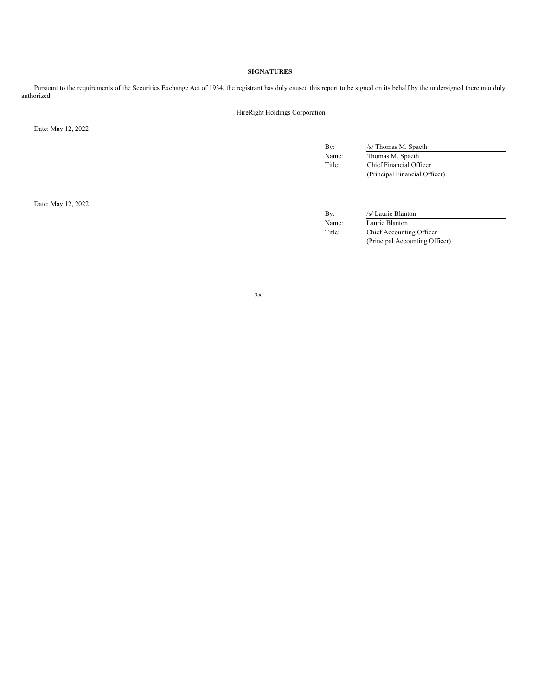# **SIGNATURES**

Pursuant to the requirements of the Securities Exchange Act of 1934, the registrant has duly caused this report to be signed on its behalf by the undersigned thereunto duly authorized.

# HireRight Holdings Corporation

Date: May 12, 2022

By: /s/ Thomas M. Spaeth Name: Thomas M. Spaeth Title: Chief Financial Officer (Principal Financial Officer)

Date: May 12, 2022

By: /s/ Laurie Blanton Name: Laurie Blanton Title: Chief Accounting Officer (Principal Accounting Officer)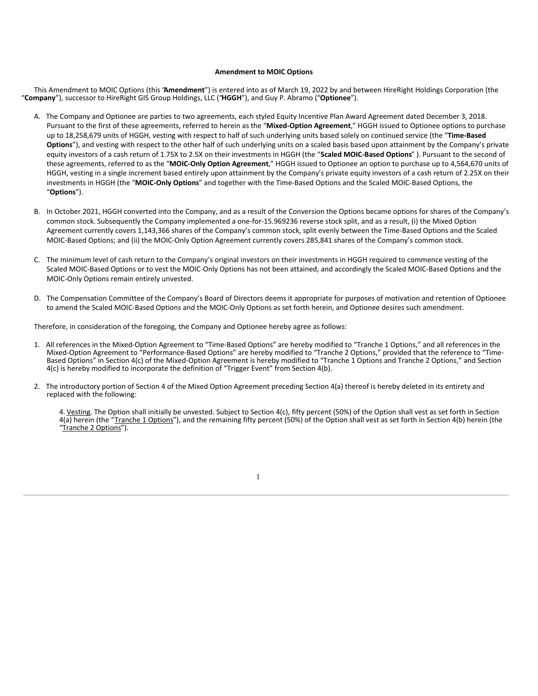## **Amendment to MOIC Options**

This Amendment to MOIC Options (this "**Amendment**") is entered into as of March 19, 2022 by and between HireRight Holdings Corporation (the "**Company**"), successor to HireRight GIS Group Holdings, LLC ("**HGGH**"), and Guy P. Abramo ("**Optionee**").

- A. The Company and Optionee are parties to two agreements, each styled Equity Incentive Plan Award Agreement dated December 3, 2018. Pursuant to the first of these agreements, referred to herein as the "**Mixed-Option Agreement**," HGGH issued to Optionee options to purchase up to 18,258,679 units of HGGH, vesting with respect to half of such underlying units based solely on continued service (the "**Time-Based Options**"), and vesting with respect to the other half of such underlying units on a scaled basis based upon attainment by the Company's private equity investors of a cash return of 1.75X to 2.5X on their investments in HGGH (the "**Scaled MOIC-Based Options**" ). Pursuant to the second of these agreements, referred to as the "**MOIC-Only Option Agreement**," HGGH issued to Optionee an option to purchase up to 4,564,670 units of HGGH, vesting in a single increment based entirely upon attainment by the Company's private equity investors of a cash return of 2.25X on their investments in HGGH (the "**MOIC-Only Options**" and together with the Time-Based Options and the Scaled MOIC-Based Options, the "**Options**").
- B. In October 2021, HGGH converted into the Company, and as a result of the Conversion the Options became options for shares of the Company's common stock. Subsequently the Company implemented a one-for-15.969236 reverse stock split, and as a result, (i) the Mixed Option Agreement currently covers 1,143,366 shares of the Company's common stock, split evenly between the Time-Based Options and the Scaled MOIC-Based Options; and (ii) the MOIC-Only Option Agreement currently covers 285,841 shares of the Company's common stock.
- C. The minimum level of cash return to the Company's original investors on their investments in HGGH required to commence vesting of the Scaled MOIC-Based Options or to vest the MOIC-Only Options has not been attained, and accordingly the Scaled MOIC-Based Options and the MOIC-Only Options remain entirely unvested.
- D. The Compensation Committee of the Company's Board of Directors deems it appropriate for purposes of motivation and retention of Optionee to amend the Scaled MOIC-Based Options and the MOIC-Only Options as set forth herein, and Optionee desires such amendment.

Therefore, in consideration of the foregoing, the Company and Optionee hereby agree as follows:

- 1. All references in the Mixed-Option Agreement to "Time-Based Options" are hereby modified to "Tranche 1 Options," and all references in the Mixed-Option Agreement to "Performance-Based Options" are hereby modified to "Tr Based Options" in Section 4(c) of the Mixed-Option Agreement is hereby modified to "Tranche 1 Options and Tranche 2 Options," and Section 4(c) is hereby modified to incorporate the definition of "Trigger Event" from Section 4(b).
- 2. The introductory portion of Section 4 of the Mixed Option Agreement preceding Section 4(a) thereof is hereby deleted in its entirety and replaced with the following:

4. Vesting. The Option shall initially be unvested. Subject to Section 4(c), fifty percent (50%) of the Option shall vest as set forth in Section 4(a) herein (the "Tranche 1 Options"), and the remaining fifty percent (50%) of the Option shall vest as set forth in Section 4(b) herein (the "Tranche 2 Options").

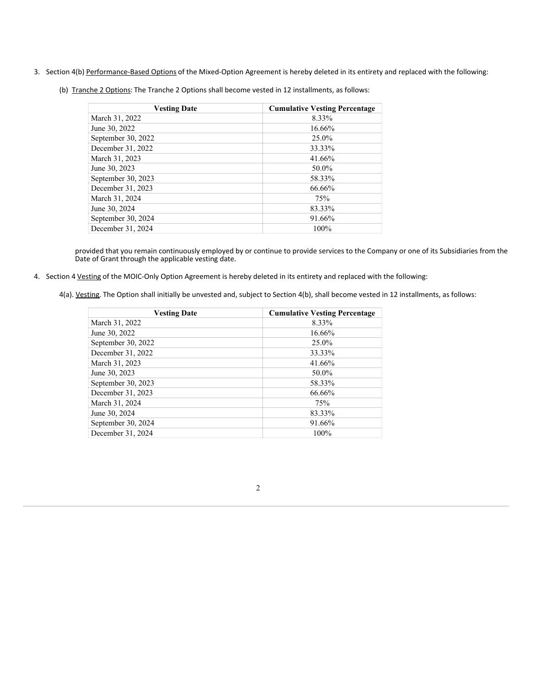- <span id="page-42-0"></span>3. Section 4(b) Performance-Based Options of the Mixed-Option Agreement is hereby deleted in its entirety and replaced with the following:
	- (b) Tranche 2 Options: The Tranche 2 Options shall become vested in 12 installments, as follows:

| <b>Vesting Date</b> | <b>Cumulative Vesting Percentage</b> |
|---------------------|--------------------------------------|
| March 31, 2022      | 8.33%                                |
| June 30, 2022       | 16.66%                               |
| September 30, 2022  | $25.0\%$                             |
| December 31, 2022   | 33.33%                               |
| March 31, 2023      | 41.66%                               |
| June 30, 2023       | 50.0%                                |
| September 30, 2023  | 58.33%                               |
| December 31, 2023   | 66.66%                               |
| March 31, 2024      | 75%                                  |
| June 30, 2024       | 83.33%                               |
| September 30, 2024  | 91.66%                               |
| December 31, 2024   | $100\%$                              |

provided that you remain continuously employed by or continue to provide services to the Company or one of its Subsidiaries from the Date of Grant through the applicable vesting date.

4. Section 4 Vesting of the MOIC-Only Option Agreement is hereby deleted in its entirety and replaced with the following:

4(a). Vesting. The Option shall initially be unvested and, subject to Section 4(b), shall become vested in 12 installments, as follows:

| <b>Vesting Date</b> | <b>Cumulative Vesting Percentage</b> |
|---------------------|--------------------------------------|
| March 31, 2022      | 8.33%                                |
| June 30, 2022       | 16.66%                               |
| September 30, 2022  | 25.0%                                |
| December 31, 2022   | 33.33%                               |
| March 31, 2023      | 41.66%                               |
| June 30, 2023       | 50.0%                                |
| September 30, 2023  | 58.33%                               |
| December 31, 2023   | 66.66%                               |
| March 31, 2024      | 75%                                  |
| June 30, 2024       | 83.33%                               |
| September 30, 2024  | 91.66%                               |
| December 31, 2024   | 100%                                 |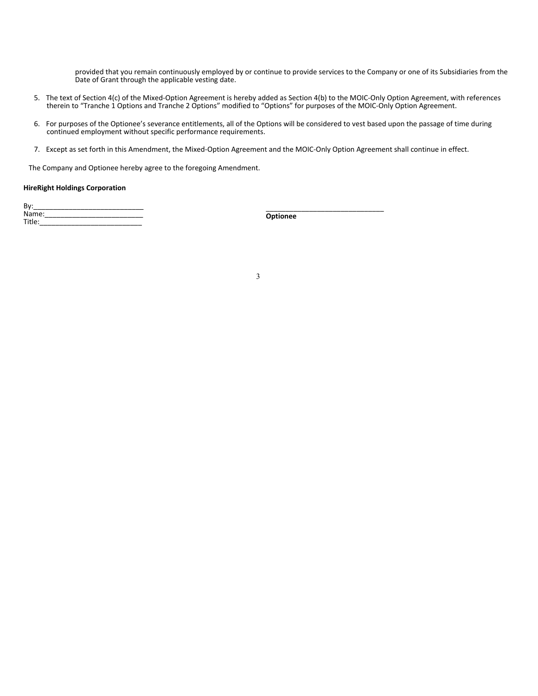provided that you remain continuously employed by or continue to provide services to the Company or one of its Subsidiaries from the Date of Grant through the applicable vesting date.

- 5. The text of Section 4(c) of the Mixed-Option Agreement is hereby added as Section 4(b) to the MOIC-Only Option Agreement, with references therein to "Tranche 1 Options and Tranche 2 Options" modified to "Options" for purposes of the MOIC-Only Option Agreement.
- 6. For purposes of the Optionee's severance entitlements, all of the Options will be considered to vest based upon the passage of time during continued employment without specific performance requirements.
- 7. Except as set forth in this Amendment, the Mixed-Option Agreement and the MOIC-Only Option Agreement shall continue in effect.

The Company and Optionee hereby agree to the foregoing Amendment.

# **HireRight Holdings Corporation**

By:\_\_\_\_\_\_\_\_\_\_\_\_\_\_\_\_\_\_\_\_\_\_\_\_\_\_\_\_  $Name:$ Title:\_\_\_\_\_\_\_\_\_\_\_\_\_\_\_\_\_\_\_\_\_\_\_\_\_\_

**Optionee**

\_\_\_\_\_\_\_\_\_\_\_\_\_\_\_\_\_\_\_\_\_\_\_\_\_\_\_\_\_\_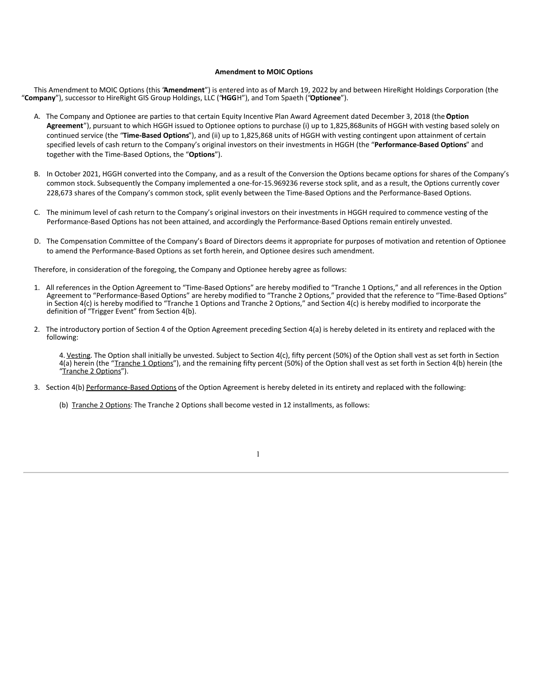## **Amendment to MOIC Options**

<span id="page-44-0"></span>This Amendment to MOIC Options (this "**Amendment**") is entered into as of March 19, 2022 by and between HireRight Holdings Corporation (the "**Company**"), successor to HireRight GIS Group Holdings, LLC ("**HGG**H"), and Tom Spaeth ("**Optionee**").

- A. The Company and Optionee are parties to that certain Equity Incentive Plan Award Agreement dated December 3, 2018 (the Option **Agreement**"), pursuant to which HGGH issued to Optionee options to purchase (i) up to 1,825,868units of HGGH with vesting based solely on continued service (the "**Time-Based Options**"), and (ii) up to 1,825,868 units of HGGH with vesting contingent upon attainment of certain specified levels of cash return to the Company's original investors on their investments in HGGH (the "**Performance-Based Options**" and together with the Time-Based Options, the "**Options**").
- B. In October 2021, HGGH converted into the Company, and as a result of the Conversion the Options became options for shares of the Company's common stock. Subsequently the Company implemented a one-for-15.969236 reverse stock split, and as a result, the Options currently cover 228,673 shares of the Company's common stock, split evenly between the Time-Based Options and the Performance-Based Options.
- C. The minimum level of cash return to the Company's original investors on their investments in HGGH required to commence vesting of the Performance-Based Options has not been attained, and accordingly the Performance-Based Options remain entirely unvested.
- D. The Compensation Committee of the Company's Board of Directors deems it appropriate for purposes of motivation and retention of Optionee to amend the Performance-Based Options as set forth herein, and Optionee desires such amendment.

Therefore, in consideration of the foregoing, the Company and Optionee hereby agree as follows:

- 1. All references in the Option Agreement to "Time-Based Options" are hereby modified to "Tranche 1 Options," and all references in the Option Agreement to "Performance-Based Options" are hereby modified to "Tranche 2 Options," provided that the reference to "Time-Based Options" in Section 4(c) is hereby modified to "Tranche 1 Options and Tranche 2 Options," and Section 4(c) is hereby modified to incorporate the definition of "Trigger Event" from Section 4(b).
- 2. The introductory portion of Section 4 of the Option Agreement preceding Section 4(a) is hereby deleted in its entirety and replaced with the following:

4. Vesting. The Option shall initially be unvested. Subject to Section 4(c), fifty percent (50%) of the Option shall vest as set forth in Section 4(a) herein (the "Tranche 1 Options"), and the remaining fifty percent (50%) of the Option shall vest as set forth in Section 4(b) herein (the "Tranche 2 Options").

3. Section 4(b) Performance-Based Options of the Option Agreement is hereby deleted in its entirety and replaced with the following:

(b) Tranche 2 Options: The Tranche 2 Options shall become vested in 12 installments, as follows: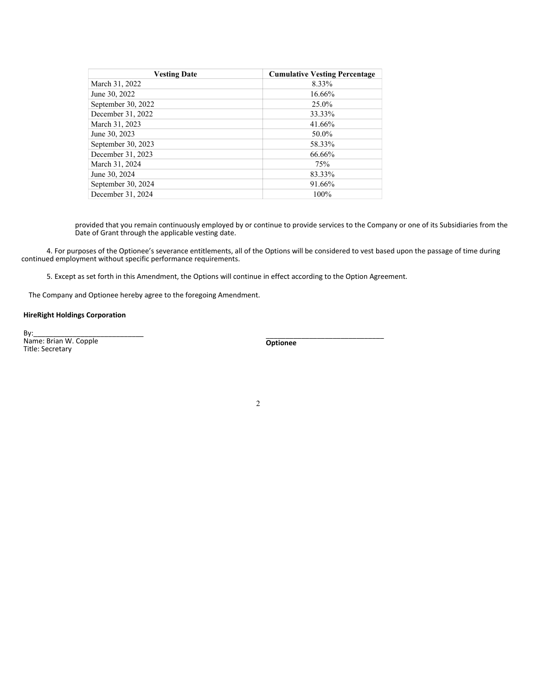| <b>Vesting Date</b> | <b>Cumulative Vesting Percentage</b> |
|---------------------|--------------------------------------|
| March 31, 2022      | 8.33%                                |
| June 30, 2022       | 16.66%                               |
| September 30, 2022  | $25.0\%$                             |
| December 31, 2022   | 33.33%                               |
| March 31, 2023      | 41.66%                               |
| June 30, 2023       | 50.0%                                |
| September 30, 2023  | 58.33%                               |
| December 31, 2023   | 66.66%                               |
| March 31, 2024      | 75%                                  |
| June 30, 2024       | 83.33%                               |
| September 30, 2024  | 91.66%                               |
| December 31, 2024   | 100%                                 |

provided that you remain continuously employed by or continue to provide services to the Company or one of its Subsidiaries from the Date of Grant through the applicable vesting date.

4. For purposes of the Optionee's severance entitlements, all of the Options will be considered to vest based upon the passage of time during continued employment without specific performance requirements.

5. Except as set forth in this Amendment, the Options will continue in effect according to the Option Agreement.

The Company and Optionee hereby agree to the foregoing Amendment.

# **HireRight Holdings Corporation**

By:\_\_\_\_\_\_\_\_\_\_\_\_\_\_\_\_\_\_\_\_\_\_\_\_\_\_\_\_

Name: Brian W. Copple Title: Secretary

\_\_\_\_\_\_\_\_\_\_\_\_\_\_\_\_\_\_\_\_\_\_\_\_\_\_\_\_\_\_ **Optionee**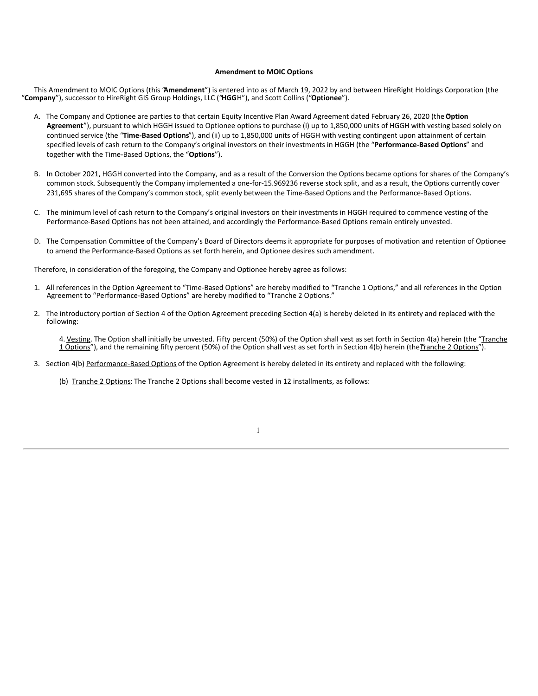## **Amendment to MOIC Options**

<span id="page-46-0"></span>This Amendment to MOIC Options (this "**Amendment**") is entered into as of March 19, 2022 by and between HireRight Holdings Corporation (the "**Company**"), successor to HireRight GIS Group Holdings, LLC ("**HGG**H"), and Scott Collins ("**Optionee**").

- A. The Company and Optionee are parties to that certain Equity Incentive Plan Award Agreement dated February 26, 2020 (the Option **Agreement**"), pursuant to which HGGH issued to Optionee options to purchase (i) up to 1,850,000 units of HGGH with vesting based solely on continued service (the "**Time-Based Options**"), and (ii) up to 1,850,000 units of HGGH with vesting contingent upon attainment of certain specified levels of cash return to the Company's original investors on their investments in HGGH (the "**Performance-Based Options**" and together with the Time-Based Options, the "**Options**").
- B. In October 2021, HGGH converted into the Company, and as a result of the Conversion the Options became options for shares of the Company's common stock. Subsequently the Company implemented a one-for-15.969236 reverse stock split, and as a result, the Options currently cover 231,695 shares of the Company's common stock, split evenly between the Time-Based Options and the Performance-Based Options.
- C. The minimum level of cash return to the Company's original investors on their investments in HGGH required to commence vesting of the Performance-Based Options has not been attained, and accordingly the Performance-Based Options remain entirely unvested.
- D. The Compensation Committee of the Company's Board of Directors deems it appropriate for purposes of motivation and retention of Optionee to amend the Performance-Based Options as set forth herein, and Optionee desires such amendment.

Therefore, in consideration of the foregoing, the Company and Optionee hereby agree as follows:

- 1. All references in the Option Agreement to "Time-Based Options" are hereby modified to "Tranche 1 Options," and all references in the Option Agreement to "Performance-Based Options" are hereby modified to "Tranche 2 Options."
- 2. The introductory portion of Section 4 of the Option Agreement preceding Section 4(a) is hereby deleted in its entirety and replaced with the following:

4. Vesting. The Option shall initially be unvested. Fifty percent (50%) of the Option shall vest as set forth in Section 4(a) herein (the "Tranche 1 Options"), and the remaining fifty percent (50%) of the Option shall vest as set forth in Section 4(b) herein (the Tranche 2 Options").

3. Section 4(b) Performance-Based Options of the Option Agreement is hereby deleted in its entirety and replaced with the following:

(b) Tranche 2 Options: The Tranche 2 Options shall become vested in 12 installments, as follows: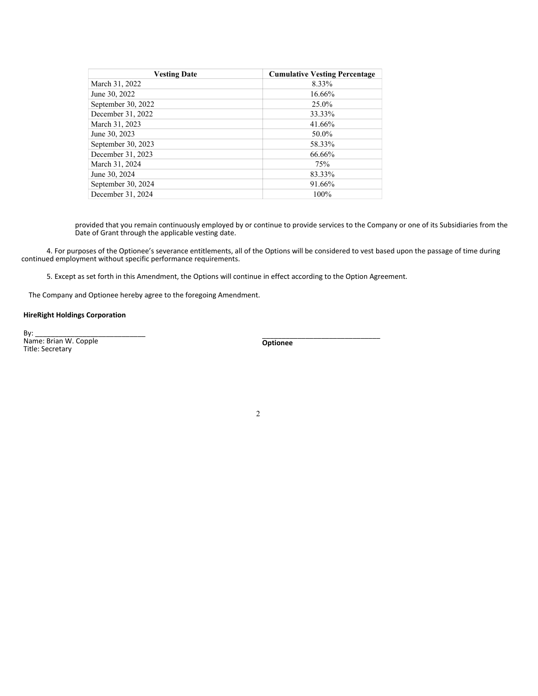| <b>Vesting Date</b> | <b>Cumulative Vesting Percentage</b> |
|---------------------|--------------------------------------|
| March 31, 2022      | 8.33%                                |
| June 30, 2022       | 16.66%                               |
| September 30, 2022  | $25.0\%$                             |
| December 31, 2022   | 33.33%                               |
| March 31, 2023      | 41.66%                               |
| June 30, 2023       | 50.0%                                |
| September 30, 2023  | 58.33%                               |
| December 31, 2023   | 66.66%                               |
| March 31, 2024      | 75%                                  |
| June 30, 2024       | 83.33%                               |
| September 30, 2024  | 91.66%                               |
| December 31, 2024   | 100%                                 |

provided that you remain continuously employed by or continue to provide services to the Company or one of its Subsidiaries from the Date of Grant through the applicable vesting date.

4. For purposes of the Optionee's severance entitlements, all of the Options will be considered to vest based upon the passage of time during continued employment without specific performance requirements.

5. Except as set forth in this Amendment, the Options will continue in effect according to the Option Agreement.

The Company and Optionee hereby agree to the foregoing Amendment.

# **HireRight Holdings Corporation**

By: \_\_\_\_\_\_\_\_\_\_\_\_\_\_\_\_\_\_\_\_\_\_\_\_\_\_\_\_ Name: Brian W. Copple Title: Secretary

\_\_\_\_\_\_\_\_\_\_\_\_\_\_\_\_\_\_\_\_\_\_\_\_\_\_\_\_\_\_ **Optionee**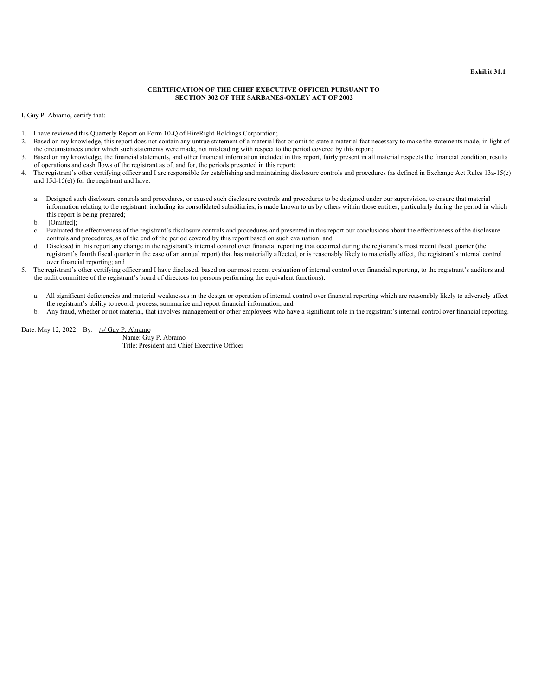## **Exhibit 31.1**

## **CERTIFICATION OF THE CHIEF EXECUTIVE OFFICER PURSUANT TO SECTION 302 OF THE SARBANES-OXLEY ACT OF 2002**

<span id="page-48-0"></span>I, Guy P. Abramo, certify that:

- 1. I have reviewed this Quarterly Report on Form 10-Q of HireRight Holdings Corporation;
- 2. Based on my knowledge, this report does not contain any untrue statement of a material fact or omit to state a material fact necessary to make the statements made, in light of the circumstances under which such statements were made, not misleading with respect to the period covered by this report;
- 3. Based on my knowledge, the financial statements, and other financial information included in this report, fairly present in all material respects the financial condition, results of operations and cash flows of the registrant as of, and for, the periods presented in this report;
- 4. The registrant's other certifying officer and I are responsible for establishing and maintaining disclosure controls and procedures (as defined in Exchange Act Rules 13a-15(e) and 15d-15(e)) for the registrant and have:
	- a. Designed such disclosure controls and procedures, or caused such disclosure controls and procedures to be designed under our supervision, to ensure that material information relating to the registrant, including its consolidated subsidiaries, is made known to us by others within those entities, particularly during the period in which this report is being prepared;
	- b. [Omitted];
	- c. Evaluated the effectiveness of the registrant's disclosure controls and procedures and presented in this report our conclusions about the effectiveness of the disclosure controls and procedures, as of the end of the period covered by this report based on such evaluation; and
	- Disclosed in this report any change in the registrant's internal control over financial reporting that occurred during the registrant's most recent fiscal quarter (the registrant's fourth fiscal quarter in the case of an annual report) that has materially affected, or is reasonably likely to materially affect, the registrant's internal control over financial reporting; and
- 5. The registrant's other certifying officer and I have disclosed, based on our most recent evaluation of internal control over financial reporting, to the registrant's auditors and the audit committee of the registrant's board of directors (or persons performing the equivalent functions):
	- a. All significant deficiencies and material weaknesses in the design or operation of internal control over financial reporting which are reasonably likely to adversely affect the registrant's ability to record, process, summarize and report financial information; and
	- b. Any fraud, whether or not material, that involves management or other employees who have a significant role in the registrant's internal control over financial reporting.

Date: May 12, 2022 By: /s/ Guy P. Abramo

Name: Guy P. Abramo Title: President and Chief Executive Officer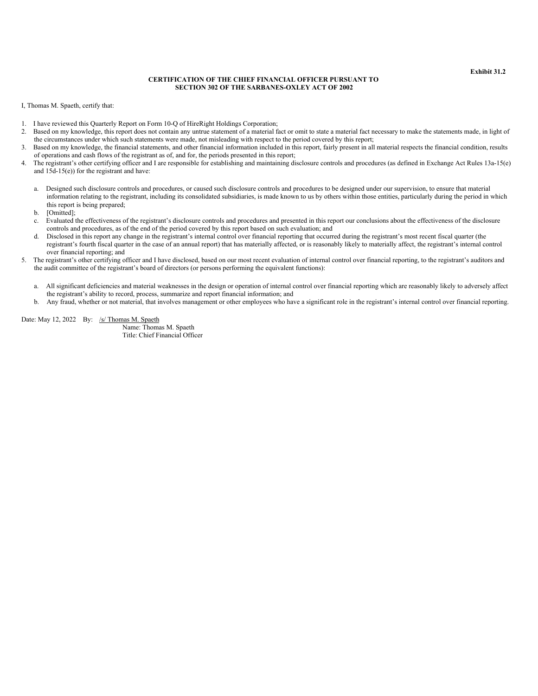## **CERTIFICATION OF THE CHIEF FINANCIAL OFFICER PURSUANT TO SECTION 302 OF THE SARBANES-OXLEY ACT OF 2002**

<span id="page-49-0"></span>I, Thomas M. Spaeth, certify that:

- 1. I have reviewed this Quarterly Report on Form 10-Q of HireRight Holdings Corporation;
- 2. Based on my knowledge, this report does not contain any untrue statement of a material fact or omit to state a material fact necessary to make the statements made, in light of the circumstances under which such statements were made, not misleading with respect to the period covered by this report;
- 3. Based on my knowledge, the financial statements, and other financial information included in this report, fairly present in all material respects the financial condition, results of operations and cash flows of the registrant as of, and for, the periods presented in this report;
- 4. The registrant's other certifying officer and I are responsible for establishing and maintaining disclosure controls and procedures (as defined in Exchange Act Rules 13a-15(e) and 15d-15(e)) for the registrant and have:
	- a. Designed such disclosure controls and procedures, or caused such disclosure controls and procedures to be designed under our supervision, to ensure that material information relating to the registrant, including its consolidated subsidiaries, is made known to us by others within those entities, particularly during the period in which this report is being prepared;
	- b. [Omitted];
	- c. Evaluated the effectiveness of the registrant's disclosure controls and procedures and presented in this report our conclusions about the effectiveness of the disclosure controls and procedures, as of the end of the period covered by this report based on such evaluation; and
	- Disclosed in this report any change in the registrant's internal control over financial reporting that occurred during the registrant's most recent fiscal quarter (the registrant's fourth fiscal quarter in the case of an annual report) that has materially affected, or is reasonably likely to materially affect, the registrant's internal control over financial reporting; and
- 5. The registrant's other certifying officer and I have disclosed, based on our most recent evaluation of internal control over financial reporting, to the registrant's auditors and the audit committee of the registrant's board of directors (or persons performing the equivalent functions):
	- a. All significant deficiencies and material weaknesses in the design or operation of internal control over financial reporting which are reasonably likely to adversely affect the registrant's ability to record, process, summarize and report financial information; and
	- b. Any fraud, whether or not material, that involves management or other employees who have a significant role in the registrant's internal control over financial reporting.

Date: May 12, 2022 By: /s/ Thomas M. Spaeth

Name: Thomas M. Spaeth Title: Chief Financial Officer **Exhibit 31.2**